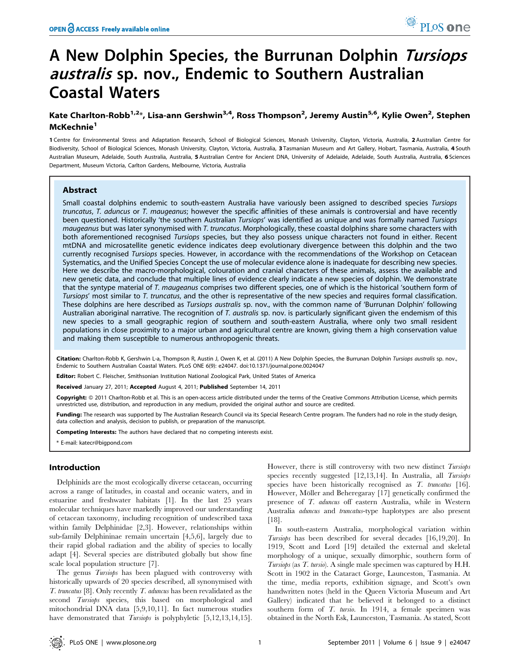# A New Dolphin Species, the Burrunan Dolphin Tursiops australis sp. nov., Endemic to Southern Australian Coastal Waters

# Kate Charlton-Robb<sup>1,2</sup>\*, Lisa-ann Gershwin<sup>3,4</sup>, Ross Thompson<sup>2</sup>, Jeremy Austin<sup>5,6</sup>, Kylie Owen<sup>2</sup>, Stephen McKechnie<sup>1</sup>

1 Centre for Environmental Stress and Adaptation Research, School of Biological Sciences, Monash University, Clayton, Victoria, Australia, 2 Australian Centre for Biodiversity, School of Biological Sciences, Monash University, Clayton, Victoria, Australia, 3 Tasmanian Museum and Art Gallery, Hobart, Tasmania, Australia, 4 South Australian Museum, Adelaide, South Australia, Australia, 5 Australian Centre for Ancient DNA, University of Adelaide, Adelaide, South Australia, Australia, 6 Sciences Department, Museum Victoria, Carlton Gardens, Melbourne, Victoria, Australia

# Abstract

Small coastal dolphins endemic to south-eastern Australia have variously been assigned to described species Tursiops truncatus, T. aduncus or T. maugeanus; however the specific affinities of these animals is controversial and have recently been questioned. Historically 'the southern Australian Tursiops' was identified as unique and was formally named Tursiops maugeanus but was later synonymised with T. truncatus. Morphologically, these coastal dolphins share some characters with both aforementioned recognised Tursiops species, but they also possess unique characters not found in either. Recent mtDNA and microsatellite genetic evidence indicates deep evolutionary divergence between this dolphin and the two currently recognised Tursiops species. However, in accordance with the recommendations of the Workshop on Cetacean Systematics, and the Unified Species Concept the use of molecular evidence alone is inadequate for describing new species. Here we describe the macro-morphological, colouration and cranial characters of these animals, assess the available and new genetic data, and conclude that multiple lines of evidence clearly indicate a new species of dolphin. We demonstrate that the syntype material of T. maugeanus comprises two different species, one of which is the historical 'southern form of Tursiops' most similar to T. truncatus, and the other is representative of the new species and requires formal classification. These dolphins are here described as Tursiops australis sp. nov., with the common name of 'Burrunan Dolphin' following Australian aboriginal narrative. The recognition of T. australis sp. nov. is particularly significant given the endemism of this new species to a small geographic region of southern and south-eastern Australia, where only two small resident populations in close proximity to a major urban and agricultural centre are known, giving them a high conservation value and making them susceptible to numerous anthropogenic threats.

Citation: Charlton-Robb K, Gershwin L-a, Thompson R, Austin J, Owen K, et al. (2011) A New Dolphin Species, the Burrunan Dolphin Tursiops australis sp. nov., Endemic to Southern Australian Coastal Waters. PLoS ONE 6(9): e24047. doi:10.1371/journal.pone.0024047

Editor: Robert C. Fleischer, Smithsonian Institution National Zoological Park, United States of America

Received January 27, 2011; Accepted August 4, 2011; Published September 14, 2011

Copyright: © 2011 Charlton-Robb et al. This is an open-access article distributed under the terms of the Creative Commons Attribution License, which permits unrestricted use, distribution, and reproduction in any medium, provided the original author and source are credited.

Funding: The research was supported by The Australian Research Council via its Special Research Centre program. The funders had no role in the study design, data collection and analysis, decision to publish, or preparation of the manuscript.

Competing Interests: The authors have declared that no competing interests exist.

\* E-mail: katecr@bigpond.com

# Introduction

Delphinids are the most ecologically diverse cetacean, occurring across a range of latitudes, in coastal and oceanic waters, and in estuarine and freshwater habitats [1]. In the last 25 years molecular techniques have markedly improved our understanding of cetacean taxonomy, including recognition of undescribed taxa within family Delphinidae [2,3]. However, relationships within sub-family Delphininae remain uncertain [4,5,6], largely due to their rapid global radiation and the ability of species to locally adapt [4]. Several species are distributed globally but show fine scale local population structure [7].

The genus Tursiops has been plagued with controversy with historically upwards of 20 species described, all synonymised with T. truncatus [8]. Only recently T. aduncus has been revalidated as the second Tursiops species, this based on morphological and mitochondrial DNA data [5,9,10,11]. In fact numerous studies have demonstrated that *Tursiops* is polyphyletic [5,12,13,14,15]. However, there is still controversy with two new distinct Tursiops species recently suggested [12,13,14]. In Australia, all Tursiops species have been historically recognised as T. truncatus [16]. However, Möller and Beheregaray [17] genetically confirmed the presence of T. aduncus off eastern Australia, while in Western Australia aduncus and truncatus-type haplotypes are also present [18].

In south-eastern Australia, morphological variation within Tursiops has been described for several decades [16,19,20]. In 1919, Scott and Lord [19] detailed the external and skeletal morphology of a unique, sexually dimorphic, southern form of Tursiops (as T. tursio). A single male specimen was captured by H.H. Scott in 1902 in the Cataract Gorge, Launceston, Tasmania. At the time, media reports, exhibition signage, and Scott's own handwritten notes (held in the Queen Victoria Museum and Art Gallery) indicated that he believed it belonged to a distinct southern form of T. tursio. In 1914, a female specimen was obtained in the North Esk, Launceston, Tasmania. As stated, Scott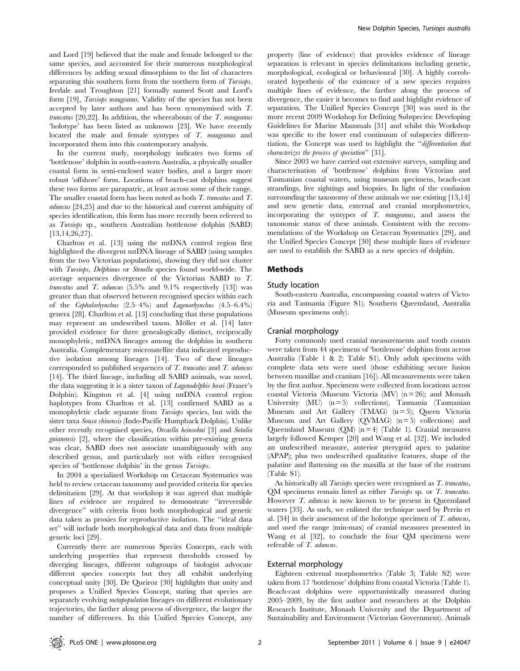and Lord [19] believed that the male and female belonged to the same species, and accounted for their numerous morphological differences by adding sexual dimorphism to the list of characters separating this southern form from the northern form of Tursiops. Iredale and Troughton [21] formally named Scott and Lord's form [19], Tursiops maugeanus. Validity of the species has not been accepted by later authors and has been synonymised with T. truncatus  $[20,22]$ . In addition, the whereabouts of the T. maugeanus 'holotype' has been listed as unknown [23]. We have recently located the male and female syntypes of T. maugeanus and incorporated them into this contemporary analysis.

In the current study, morphology indicates two forms of 'bottlenose' dolphin in south-eastern Australia, a physically smaller coastal form in semi-enclosed water bodies, and a larger more robust 'offshore' form. Locations of beach-cast dolphins suggest these two forms are parapatric, at least across some of their range. The smaller coastal form has been noted as both T. truncatus and T. aduncus [24,25] and due to the historical and current ambiguity of species identification, this form has more recently been referred to as Tursiops sp., southern Australian bottlenose dolphin (SABD) [13,14,26,27].

Charlton et al. [13] using the mtDNA control region first highlighted the divergent mtDNA lineage of SABD (using samples from the two Victorian populations), showing they did not cluster with *Tursiops*, *Delphinus* or *Stenella* species found world-wide. The average sequences divergence of the Victorian SABD to T. truncatus and T. aduncus  $(5.5\%$  and  $9.1\%$  respectively [13]) was greater than that observed between recognised species within each of the Cephalorhynchus (2.5–4%) and Lagenorhynchus (4.5–6.4%) genera [28]. Charlton et al. [13] concluding that these populations may represent an undescribed taxon. Möller et al. [14] later provided evidence for three genealogically distinct, reciprocally monophyletic, mtDNA lineages among the dolphins in southern Australia. Complementary microsatellite data indicated reproductive isolation among lineages [14]. Two of these lineages corresponded to published sequences of  $T$ . truncatus and  $T$ . aduncus [14]. The third lineage, including all SABD animals, was novel, the data suggesting it is a sister taxon of Lagenodelphis hosei (Fraser's Dolphin). Kingston et al. [4] using mtDNA control region haplotypes from Charlton et al. [13] confirmed SABD as a monophyletic clade separate from Tursiops species, but with the sister taxa Sousa chinensis (Indo-Pacific Humpback Dolphin). Unlike other recently recognised species, Orcaella heinsohni [3] and Sotalia guianensis [2], where the classification within pre-existing genera was clear, SABD does not associate unambiguously with any described genus, and particularly not with either recognised species of 'bottlenose dolphin' in the genus Tursiops.

In 2004 a specialized Workshop on Cetacean Systematics was held to review cetacean taxonomy and provided criteria for species delimitation [29]. At that workshop it was agreed that multiple lines of evidence are required to demonstrate ''irreversible divergence'' with criteria from both morphological and genetic data taken as proxies for reproductive isolation. The ''ideal data set'' will include both morphological data and data from multiple genetic loci [29].

Currently there are numerous Species Concepts, each with underlying properties that represent thresholds crossed by diverging lineages, different subgroups of biologist advocate different species concepts but they all exhibit underlying conceptual unity [30]. De Queiroz [30] highlights that unity and proposes a Unified Species Concept, stating that species are separately evolving *metapopulation* lineages on different evolutionary trajectories, the farther along process of divergence, the larger the number of differences. In this Unified Species Concept, any

property (line of evidence) that provides evidence of lineage separation is relevant in species delimitations including genetic, morphological, ecological or behavioural [30]. A highly corroborated hypothesis of the existence of a new species requires multiple lines of evidence, the farther along the process of divergence, the easier it becomes to find and highlight evidence of separation. The Unified Species Concept [30] was used in the more recent 2009 Workshop for Defining Subspecies: Developing Guidelines for Marine Mammals [31] and whilst this Workshop was specific to the lower end continuum of subspecies differentiation, the Concept was used to highlight the ''differentiation that characterizes the process of speciation'' [31].

Since 2003 we have carried out extensive surveys, sampling and characterisation of 'bottlenose' dolphins from Victorian and Tasmanian coastal waters, using museum specimens, beach-cast strandings, live sightings and biopsies. In light of the confusion surrounding the taxonomy of these animals we use existing [13,14] and new genetic data, external and cranial morphometrics, incorporating the syntypes of T. maugeanus, and assess the taxonomic status of these animals. Consistent with the recommendations of the Workshop on Cetacean Systematics [29], and the Unified Species Concept [30] these multiple lines of evidence are used to establish the SABD as a new species of dolphin.

#### Methods

#### Study location

South-eastern Australia, encompassing coastal waters of Victoria and Tasmania (Figure S1). Southern Queensland, Australia (Museum specimens only).

#### Cranial morphology

Forty commonly used cranial measurements and tooth counts were taken from 44 specimens of 'bottlenose' dolphins from across Australia (Table 1 & 2; Table S1). Only adult specimens with complete data sets were used (those exhibiting secure fusion between maxillae and cranium [16]). All measurements were taken by the first author. Specimens were collected from locations across coastal Victoria (Museum Victoria (MV)  $(n = 26)$ ; and Monash University  $(MU)$   $(n=5)$  collections), Tasmania (Tasmanian Museum and Art Gallery (TMAG)  $(n=5)$ ; Queen Victoria Museum and Art Gallery  $(QVMAG)$  (n = 5) collections) and Queensland Museum  $(QM)$  (n = 4) (Table 1). Cranial measures largely followed Kemper [20] and Wang et al. [32]. We included an undescribed measure, anterior pterygoid apex to palatine (APAP); plus two undescribed qualitative features, shape of the palatine and flattening on the maxilla at the base of the rostrum (Table S1).

As historically all *Tursiops* species were recognised as *T. truncatus*, QM specimens remain listed as either Tursiops sp. or T. truncatus. However T. aduncus is now known to be present in Queensland waters [33]. As such, we enlisted the technique used by Perrin et al.  $[34]$  in their assessment of the holotype specimen of  $T$ . aduncus, and used the range (min-max) of cranial measures presented in Wang et al [32], to conclude the four QM specimens were referable of T. aduncus.

# External morphology

Eighteen external morphometrics (Table 3; Table S2) were taken from 17 'bottlenose' dolphins from coastal Victoria (Table 1). Beach-cast dolphins were opportunistically measured during 2005–2009, by the first author and researchers at the Dolphin Research Institute, Monash University and the Department of Sustainability and Environment (Victorian Government). Animals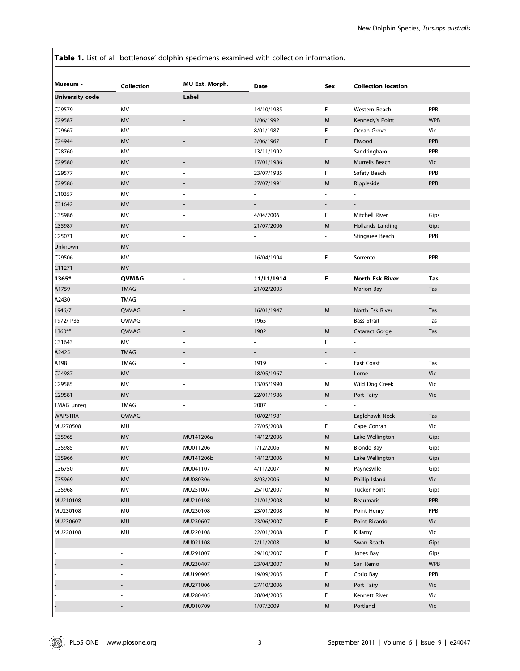Table 1. List of all 'bottlenose' dolphin specimens examined with collection information.

| Museum -               | <b>Collection</b>        | <b>MU Ext. Morph.</b>    | Date                     | Sex                      | <b>Collection location</b> |            |
|------------------------|--------------------------|--------------------------|--------------------------|--------------------------|----------------------------|------------|
| <b>University code</b> |                          | Label                    |                          |                          |                            |            |
| C29579                 | MV                       | ÷,                       | 14/10/1985               | F                        | Western Beach              | PPB        |
| C29587                 | MV                       |                          | 1/06/1992                | M                        | Kennedy's Point            | <b>WPB</b> |
| C29667                 | MV                       |                          | 8/01/1987                | F                        | Ocean Grove                | Vic        |
| C24944                 | MV                       |                          | 2/06/1967                | F                        | Elwood                     | PPB        |
| C28760                 | MV                       |                          | 13/11/1992               | ×.                       | Sandringham                | PPB        |
| C29580                 | MV                       |                          | 17/01/1986               | M                        | Murrells Beach             | Vic        |
| C29577                 | MV                       |                          | 23/07/1985               | F                        | Safety Beach               | PPB        |
| C29586                 | MV                       | ÷                        | 27/07/1991               | M                        | Rippleside                 | PPB        |
| C10357                 | MV                       |                          | $\blacksquare$           |                          |                            |            |
| C31642                 | MV                       |                          |                          | $\overline{\phantom{a}}$ |                            |            |
| C35986                 | MV                       |                          | 4/04/2006                | F                        | Mitchell River             | Gips       |
| C35987                 | MV                       |                          | 21/07/2006               | M                        | Hollands Landing           | Gips       |
| C25071                 | MV                       |                          |                          | $\overline{\phantom{a}}$ | Stingaree Beach            | PPB        |
| Unknown                | MV                       | $\overline{\phantom{a}}$ | $\overline{\phantom{a}}$ | $\overline{\phantom{a}}$ |                            |            |
| C29506                 | MV                       |                          | 16/04/1994               | F                        | Sorrento                   | PPB        |
| C11271                 | MV                       | $\overline{a}$           | $\overline{\phantom{a}}$ | $\overline{\phantom{a}}$ |                            |            |
| 1365*                  | QVMAG                    | ٠                        | 11/11/1914               | F                        | <b>North Esk River</b>     | Tas        |
| A1759                  | <b>TMAG</b>              |                          | 21/02/2003               | $\overline{\phantom{a}}$ | Marion Bay                 | Tas        |
| A2430                  | <b>TMAG</b>              |                          |                          | $\overline{\phantom{a}}$ |                            |            |
| 1946/7                 | QVMAG                    | $\overline{\phantom{a}}$ | 16/01/1947               | M                        | North Esk River            | Tas        |
| 1972/1/35              | QVMAG                    | $\overline{a}$           | 1965                     |                          | <b>Bass Strait</b>         | Tas        |
| 1360**                 | QVMAG                    | -                        | 1902                     | M                        | Cataract Gorge             | Tas        |
| C31643                 | MV                       | L                        | $\overline{\phantom{a}}$ | F                        | $\overline{\phantom{a}}$   |            |
| A2425                  | <b>TMAG</b>              |                          | $\centerdot$             | $\overline{\phantom{a}}$ | $\overline{\phantom{a}}$   |            |
| A198                   | <b>TMAG</b>              | ÷                        | 1919                     | $\overline{\phantom{a}}$ | East Coast                 | Tas        |
| C24987                 | MV                       | ÷                        | 18/05/1967               | $\overline{\phantom{a}}$ | Lorne                      | Vic        |
| C29585                 | MV                       | ÷,                       | 13/05/1990               | M                        | Wild Dog Creek             | Vic        |
| C29581                 | MV                       | $\overline{\phantom{a}}$ | 22/01/1986               | M                        | Port Fairy                 | Vic        |
| TMAG unreg             | <b>TMAG</b>              |                          | 2007                     |                          |                            |            |
| WAPSTRA                | QVMAG                    |                          | 10/02/1981               | $\overline{\phantom{a}}$ | Eaglehawk Neck             | Tas        |
| MU270508               | MU                       |                          | 27/05/2008               | F                        | Cape Conran                | Vic        |
| C35965                 | MV                       | MU141206a                | 14/12/2006               | M                        | Lake Wellington            | Gips       |
| C35985                 | MV                       | MU011206                 | 1/12/2006                | M                        | <b>Blonde Bay</b>          | Gips       |
| C35966                 | MV                       | MU141206b                | 14/12/2006               | M                        | Lake Wellington            | Gips       |
| C36750                 | MV                       | MU041107                 | 4/11/2007                | M                        | Paynesville                | Gips       |
| C35969                 | MV                       | MU080306                 | 8/03/2006                | M                        | Phillip Island             | Vic        |
| C35968                 | MV                       | MU251007                 | 25/10/2007               | M                        | <b>Tucker Point</b>        | Gips       |
| MU210108               | <b>MU</b>                | MU210108                 | 21/01/2008               | M                        | <b>Beaumaris</b>           | PPB        |
| MU230108               | MU                       | MU230108                 | 23/01/2008               | M                        | Point Henry                | PPB        |
| MU230607               | MU                       | MU230607                 | 23/06/2007               | F                        | Point Ricardo              | Vic        |
| MU220108               | MU                       | MU220108                 | 22/01/2008               | F                        | Killarny                   | Vic        |
|                        |                          | MU021108                 | 2/11/2008                | M                        | Swan Reach                 | Gips       |
|                        |                          | MU291007                 | 29/10/2007               | F                        | Jones Bay                  | Gips       |
|                        | $\overline{\phantom{a}}$ | MU230407                 | 23/04/2007               | M                        | San Remo                   | <b>WPB</b> |
|                        |                          | MU190905                 | 19/09/2005               | F                        | Corio Bay                  | PPB        |
|                        | $\overline{\phantom{a}}$ | MU271006                 | 27/10/2006               | M                        | Port Fairy                 | Vic        |
|                        | $\overline{\phantom{a}}$ | MU280405                 | 28/04/2005               | F                        | Kennett River              | Vic        |
|                        | $\overline{\phantom{a}}$ | MU010709                 | 1/07/2009                | M                        | Portland                   | Vic        |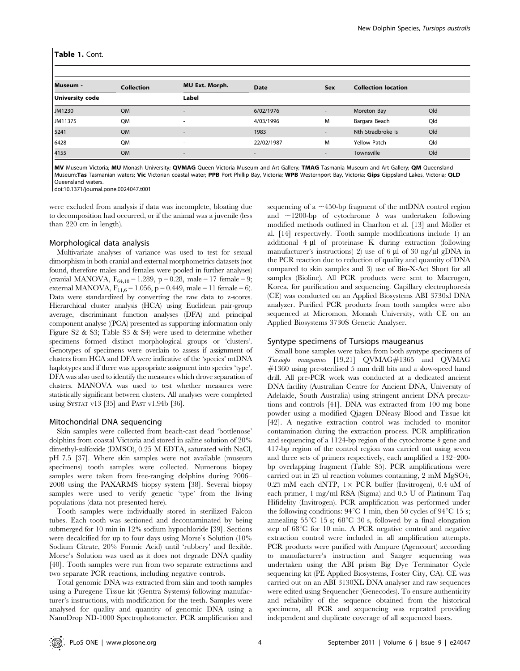| Museum -        | <b>Collection</b> | MU Ext. Morph.           | Date                     | <b>Sex</b>               | <b>Collection location</b> |     |
|-----------------|-------------------|--------------------------|--------------------------|--------------------------|----------------------------|-----|
| University code |                   | Label                    |                          |                          |                            |     |
| JM1230          | QM                | $\overline{\phantom{a}}$ | 6/02/1976                | $\sim$                   | Moreton Bay                | Qld |
| JM11375         | QM                |                          | 4/03/1996                | M                        | Bargara Beach              | Qld |
| 5241            | QM                | $\overline{a}$           | 1983                     | $\sim$                   | Nth Stradbroke Is          | Qld |
| 6428            | QM                | $\overline{\phantom{a}}$ | 22/02/1987               | M                        | <b>Yellow Patch</b>        | Qld |
| 4155            | QM                | $\overline{a}$           | $\overline{\phantom{a}}$ | $\overline{\phantom{a}}$ | Townsville                 | Qld |

MV Museum Victoria; MU Monash University; QVMAG Queen Victoria Museum and Art Gallery; TMAG Tasmania Museum and Art Gallery; QM Queensland Museum:Tas Tasmanian waters; Vic Victorian coastal water; PPB Port Phillip Bay, Victoria; WPB Westernport Bay, Victoria; Gips Gippsland Lakes, Victoria; QLD Queensland waters.

doi:10.1371/journal.pone.0024047.t001

were excluded from analysis if data was incomplete, bloating due to decomposition had occurred, or if the animal was a juvenile (less than 220 cm in length).

#### Morphological data analysis

Multivariate analyses of variance was used to test for sexual dimorphism in both cranial and external morphometrics datasets (not found, therefore males and females were pooled in further analyses) (cranial MANOVA,  $F_{64,18} = 1.289$ , p = 0.28, male = 17 female = 9; external MANOVA,  $F_{11,6} = 1.056$ , p = 0.449, male = 11 female = 6). Data were standardized by converting the raw data to z-scores. Hierarchical cluster analysis (HCA) using Euclidean pair-group average, discriminant function analyses (DFA) and principal component analyse ((PCA) presented as supporting information only Figure S2 & S3; Table S3 & S4) were used to determine whether specimens formed distinct morphological groups or 'clusters'. Genotypes of specimens were overlain to assess if assignment of clusters from HCA and DFA were indicative of the 'species' mtDNA haplotypes and if there was appropriate assigment into species 'type'. DFA was also used to identify the measures which drove separation of clusters. MANOVA was used to test whether measures were statistically significant between clusters. All analyses were completed using SYSTAT v13 [35] and PAST v1.94b [36].

#### Mitochondrial DNA sequencing

Skin samples were collected from beach-cast dead 'bottlenose' dolphins from coastal Victoria and stored in saline solution of 20% dimethyl-sulfoxide (DMSO), 0.25 M EDTA, saturated with NaCl, pH 7.5 [37]. Where skin samples were not available (museum specimens) tooth samples were collected. Numerous biopsy samples were taken from free-ranging dolphins during 2006– 2008 using the PAXARMS biopsy system [38]. Several biopsy samples were used to verify genetic 'type' from the living populations (data not presented here).

Tooth samples were individually stored in sterilized Falcon tubes. Each tooth was sectioned and decontaminated by being submerged for 10 min in 12% sodium hypochloride [39]. Sections were decalcified for up to four days using Morse's Solution (10% Sodium Citrate, 20% Formic Acid) until 'rubbery' and flexible. Morse's Solution was used as it does not degrade DNA quality [40]. Tooth samples were run from two separate extractions and two separate PCR reactions, including negative controls.

Total genomic DNA was extracted from skin and tooth samples using a Puregene Tissue kit (Gentra Systems) following manufacturer's instructions, with modification for the teeth. Samples were analysed for quality and quantity of genomic DNA using a NanoDrop ND-1000 Spectrophotometer. PCR amplification and sequencing of a  $\sim$ 450-bp fragment of the mtDNA control region and  $\sim$ 1200-bp of cytochrome b was undertaken following modified methods outlined in Charlton et al. [13] and Möller et al. [14] respectively. Tooth sample modifications include 1) an additional  $4 \mu l$  of proteinase K during extraction (following manufacturer's instructions) 2) use of 6  $\mu$ l of 30 ng/ $\mu$ l gDNA in the PCR reaction due to reduction of quality and quantity of DNA compared to skin samples and 3) use of Bio-X-Act Short for all samples (Bioline). All PCR products were sent to Macrogen, Korea, for purification and sequencing. Capillary electrophoresis (CE) was conducted on an Applied Biosystems ABI 3730xl DNA analyzer. Purified PCR products from tooth samples were also sequenced at Micromon, Monash University, with CE on an Applied Biosystems 3730S Genetic Analyser.

#### Syntype specimens of Tursiops maugeanus

Small bone samples were taken from both syntype specimens of Tursiops maugeanus [19,21] QVMAG#1365 and QVMAG  $\#1360$  using pre-sterilised 5 mm drill bits and a slow-speed hand drill. All pre-PCR work was conducted at a dedicated ancient DNA facility (Australian Centre for Ancient DNA, University of Adelaide, South Australia) using stringent ancient DNA precautions and controls [41]. DNA was extracted from 100 mg bone powder using a modified Qiagen DNeasy Blood and Tissue kit [42]. A negative extraction control was included to monitor contamination during the extraction process. PCR amplification and sequencing of a 1124-bp region of the cytochrome  $b$  gene and 417-bp region of the control region was carried out using seven and three sets of primers respectively, each amplified a 132–200 bp overlapping fragment (Table S5). PCR amplifications were carried out in 25 ul reaction volumes containing, 2 mM MgSO4, 0.25 mM each dNTP,  $1 \times$  PCR buffer (Invitrogen), 0.4 uM of each primer, 1 mg/ml RSA (Sigma) and 0.5 U of Platinum Taq Hifidelity (Invitrogen). PCR amplification was performed under the following conditions:  $94^{\circ}C$  1 min, then 50 cycles of  $94^{\circ}C$  15 s; annealing  $55^{\circ}$ C 15 s;  $68^{\circ}$ C 30 s, followed by a final elongation step of  $68^{\circ}$ C for 10 min. A PCR negative control and negative extraction control were included in all amplification attempts. PCR products were purified with Ampure (Agencourt) according to manufacturer's instruction and Sanger sequencing was undertaken using the ABI prism Big Dye Terminator Cycle sequencing kit (PE Applied Biosystems, Foster City, CA). CE was carried out on an ABI 3130XL DNA analyser and raw sequences were edited using Sequencher (Genecodes). To ensure authenticity and reliability of the sequence obtained from the historical specimens, all PCR and sequencing was repeated providing independent and duplicate coverage of all sequenced bases.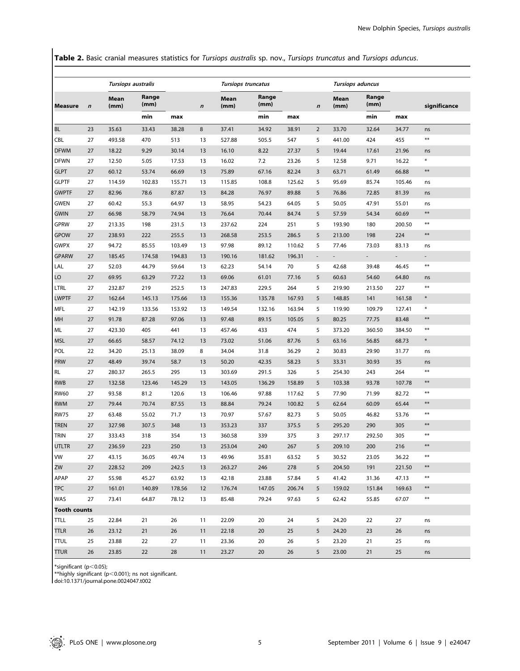Table 2. Basic cranial measures statistics for Tursiops australis sp. nov., Tursiops truncatus and Tursiops aduncus.

|                     |                  | Tursiops australis  |               |        |                  | Tursiops truncatus |               |        |                  | Tursiops aduncus |               |        |                          |
|---------------------|------------------|---------------------|---------------|--------|------------------|--------------------|---------------|--------|------------------|------------------|---------------|--------|--------------------------|
| <b>Measure</b>      | $\boldsymbol{n}$ | <b>Mean</b><br>(mm) | Range<br>(mm) |        | $\boldsymbol{n}$ | Mean<br>(mm)       | Range<br>(mm) |        | $\boldsymbol{n}$ | Mean<br>(mm)     | Range<br>(mm) |        | significance             |
|                     |                  |                     | min           | max    |                  |                    | min           | max    |                  |                  | min           | max    |                          |
| BL                  | 23               | 35.63               | 33.43         | 38.28  | 8                | 37.41              | 34.92         | 38.91  | $\overline{2}$   | 33.70            | 32.64         | 34.77  | ns                       |
| CBL                 | 27               | 493.58              | 470           | 513    | 13               | 527.88             | 505.5         | 547    | 5                | 441.00           | 424           | 455    | $***$                    |
| <b>DFWM</b>         | 27               | 18.22               | 9.29          | 30.14  | 13               | 16.10              | 8.22          | 27.37  | 5                | 19.44            | 17.61         | 21.96  | ns                       |
| <b>DFWN</b>         | 27               | 12.50               | 5.05          | 17.53  | 13               | 16.02              | 7.2           | 23.26  | 5                | 12.58            | 9.71          | 16.22  | $\ast$                   |
| <b>GLPT</b>         | 27               | 60.12               | 53.74         | 66.69  | 13               | 75.89              | 67.16         | 82.24  | 3                | 63.71            | 61.49         | 66.88  | $***$                    |
| <b>GLPTF</b>        | 27               | 114.59              | 102.83        | 155.71 | 13               | 115.85             | 108.8         | 125.62 | 5                | 95.69            | 85.74         | 105.46 | ns                       |
| <b>GWPTF</b>        | 27               | 82.96               | 78.6          | 87.87  | 13               | 84.28              | 76.97         | 89.88  | 5                | 76.86            | 72.85         | 81.39  | ns                       |
| <b>GWEN</b>         | 27               | 60.42               | 55.3          | 64.97  | 13               | 58.95              | 54.23         | 64.05  | 5                | 50.05            | 47.91         | 55.01  | ns                       |
| GWIN                | 27               | 66.98               | 58.79         | 74.94  | 13               | 76.64              | 70.44         | 84.74  | 5                | 57.59            | 54.34         | 60.69  | $**$                     |
| <b>GPRW</b>         | 27               | 213.35              | 198           | 231.5  | 13               | 237.62             | 224           | 251    | 5                | 193.90           | 180           | 200.50 | $***$                    |
| GPOW                | 27               | 238.93              | 222           | 255.5  | 13               | 268.58             | 253.5         | 286.5  | 5                | 213.00           | 198           | 224    | $***$                    |
| <b>GWPX</b>         | 27               | 94.72               | 85.55         | 103.49 | 13               | 97.98              | 89.12         | 110.62 | 5                | 77.46            | 73.03         | 83.13  | ns                       |
| <b>GPARW</b>        | 27               | 185.45              | 174.58        | 194.83 | 13               | 190.16             | 181.62        | 196.31 | $\blacksquare$   |                  | ÷,            | ÷,     | $\overline{\phantom{a}}$ |
| LAL                 | 27               | 52.03               | 44.79         | 59.64  | 13               | 62.23              | 54.14         | 70     | 5                | 42.68            | 39.48         | 46.45  | $***$                    |
| LO                  | 27               | 69.95               | 63.29         | 77.22  | 13               | 69.06              | 61.01         | 77.16  | 5                | 60.63            | 54.60         | 64.80  | ns                       |
| LTRL                | 27               | 232.87              | 219           | 252.5  | 13               | 247.83             | 229.5         | 264    | 5                | 219.90           | 213.50        | 227    | **                       |
| <b>LWPTF</b>        | 27               | 162.64              | 145.13        | 175.66 | 13               | 155.36             | 135.78        | 167.93 | 5                | 148.85           | 141           | 161.58 | $\ast$                   |
| <b>MFL</b>          | 27               | 142.19              | 133.56        | 153.92 | 13               | 149.54             | 132.16        | 163.94 | 5                | 119.90           | 109.79        | 127.41 | $\ast$                   |
| MH                  | 27               | 91.78               | 87.28         | 97.06  | 13               | 97.48              | 89.15         | 105.05 | 5                | 80.25            | 77.75         | 83.48  | **                       |
| ML                  | 27               | 423.30              | 405           | 441    | 13               | 457.46             | 433           | 474    | 5                | 373.20           | 360.50        | 384.50 | $***$                    |
| <b>MSL</b>          | 27               | 66.65               | 58.57         | 74.12  | 13               | 73.02              | 51.06         | 87.76  | 5                | 63.16            | 56.85         | 68.73  | $\ast$                   |
| POL                 | 22               | 34.20               | 25.13         | 38.09  | 8                | 34.04              | 31.8          | 36.29  | $\mathbf 2$      | 30.83            | 29.90         | 31.77  | ns                       |
| PRW                 | 27               | 48.49               | 39.74         | 58.7   | 13               | 50.20              | 42.35         | 58.23  | 5                | 33.31            | 30.93         | 35     | ns                       |
| RL                  | 27               | 280.37              | 265.5         | 295    | 13               | 303.69             | 291.5         | 326    | 5                | 254.30           | 243           | 264    | $***$                    |
| <b>RWB</b>          | 27               | 132.58              | 123.46        | 145.29 | 13               | 143.05             | 136.29        | 158.89 | 5                | 103.38           | 93.78         | 107.78 | $***$                    |
| <b>RW60</b>         | 27               | 93.58               | 81.2          | 120.6  | 13               | 106.46             | 97.88         | 117.62 | 5                | 77.90            | 71.99         | 82.72  | $***$                    |
| <b>RWM</b>          | 27               | 79.44               | 70.74         | 87.55  | 13               | 88.84              | 79.24         | 100.82 | 5                | 62.64            | 60.09         | 65.44  | $***$                    |
| <b>RW75</b>         | 27               | 63.48               | 55.02         | 71.7   | 13               | 70.97              | 57.67         | 82.73  | 5                | 50.05            | 46.82         | 53.76  | $***$                    |
| <b>TREN</b>         | 27               | 327.98              | 307.5         | 348    | 13               | 353.23             | 337           | 375.5  | 5                | 295.20           | 290           | 305    | **                       |
| <b>TRIN</b>         | 27               | 333.43              | 318           | 354    | 13               | 360.58             | 339           | 375    | 3                | 297.17           | 292.50        | 305    | $***$                    |
| <b>UTLTR</b>        | 27               | 236.59              | 223           | 250    | 13               | 253.04             | 240           | 267    | 5                | 209.10           | 200           | 216    | $***$                    |
| VW                  | 27               | 43.15               | 36.05         | 49.74  | 13               | 49.96              | 35.81         | 63.52  | 5                | 30.52            | 23.05         | 36.22  | $***$                    |
| ZW                  | 27               | 228.52              | 209           | 242.5  | 13               | 263.27             | 246           | 278    | 5                | 204.50           | 191           | 221.50 | $**$                     |
| APAP                | 27               | 55.98               | 45.27         | 63.92  | 13               | 42.18              | 23.88         | 57.84  | 5                | 41.42            | 31.36         | 47.13  | $***$                    |
| <b>TPC</b>          | 27               | 161.01              | 140.89        | 178.56 | 12               | 176.74             | 147.05        | 206.74 | 5                | 159.02           | 151.84        | 169.63 | $***$                    |
| WAS                 | 27               | 73.41               | 64.87         | 78.12  | 13               | 85.48              | 79.24         | 97.63  | 5                | 62.42            | 55.85         | 67.07  | $***$                    |
| <b>Tooth counts</b> |                  |                     |               |        |                  |                    |               |        |                  |                  |               |        |                          |
| <b>TTLL</b>         | 25               | 22.84               | 21            | 26     | 11               | 22.09              | 20            | 24     | 5                | 24.20            | 22            | 27     | ns                       |
| TTLR                | 26               | 23.12               | 21            | 26     | 11               | 22.18              | 20            | 25     | 5                | 24.20            | 23            | 26     | ns                       |
| TTUL                | 25               | 23.88               | 22            | 27     | 11               | 23.36              | 20            | 26     | 5                | 23.20            | 21            | 25     | ns                       |
| <b>TTUR</b>         | 26               | 23.85               | 22            | 28     | 11               | 23.27              | 20            | 26     | 5                | 23.00            | 21            | 25     | ns                       |

 $*$ significant (p $<$ 0.05);

 $*$ highly significant (p $<$ 0.001); ns not significant.

doi:10.1371/journal.pone.0024047.t002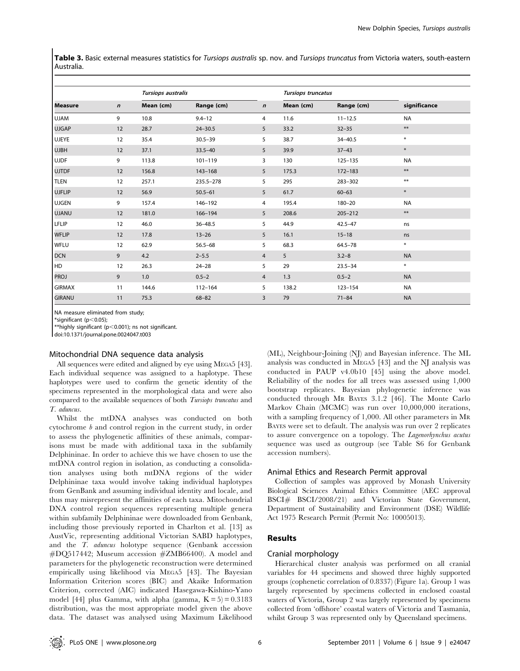Table 3. Basic external measures statistics for Tursiops australis sp. nov. and Tursiops truncatus from Victoria waters, south-eastern Australia.

|                |                  | Tursiops australis |             |                  | <b>Tursiops truncatus</b> |             |                  |
|----------------|------------------|--------------------|-------------|------------------|---------------------------|-------------|------------------|
| <b>Measure</b> | $\boldsymbol{n}$ | Mean (cm)          | Range (cm)  | $\boldsymbol{n}$ | Mean (cm)                 | Range (cm)  | significance     |
| <b>UJAM</b>    | 9                | 10.8               | $9.4 - 12$  | 4                | 11.6                      | $11 - 12.5$ | <b>NA</b>        |
| <b>UJGAP</b>   | 12               | 28.7               | $24 - 30.5$ | 5                | 33.2                      | $32 - 35$   | $\ast\ast$       |
| <b>UJEYE</b>   | 12               | 35.4               | $30.5 - 39$ | 5                | 38.7                      | $34 - 40.5$ | $\ast$           |
| <b>UJBH</b>    | 12               | 37.1               | $33.5 - 40$ | 5                | 39.9                      | $37 - 43$   | $\ast$           |
| <b>UJDF</b>    | 9                | 113.8              | $101 - 119$ | 3                | 130                       | 125-135     | <b>NA</b>        |
| <b>UJTDF</b>   | 12               | 156.8              | $143 - 168$ | 5                | 175.3                     | 172-183     | $\ast\ast$       |
| <b>TLEN</b>    | 12               | 257.1              | 235.5-278   | 5                | 295                       | 283-302     | $\ast\ast$       |
| <b>UJFLIP</b>  | 12               | 56.9               | $50.5 - 61$ | 5                | 61.7                      | $60 - 63$   | $*$              |
| <b>UJGEN</b>   | 9                | 157.4              | 146-192     | 4                | 195.4                     | $180 - 20$  | <b>NA</b>        |
| <b>UJANU</b>   | 12               | 181.0              | 166-194     | 5                | 208.6                     | $205 - 212$ | $\ast\ast$       |
| LFLIP          | 12               | 46.0               | $36 - 48.5$ | 5                | 44.9                      | $42.5 - 47$ | ns               |
| <b>WFLIP</b>   | 12               | 17.8               | $13 - 26$   | 5                | 16.1                      | $15 - 18$   | ns               |
| WFLU           | 12               | 62.9               | $56.5 - 68$ | 5                | 68.3                      | $64.5 - 78$ | $\ast$           |
| <b>DCN</b>     | 9                | 4.2                | $2 - 5.5$   | $\overline{4}$   | 5                         | $3.2 - 8$   | <b>NA</b>        |
| HD             | 12               | 26.3               | $24 - 28$   | 5                | 29                        | $23.5 - 34$ | $\divideontimes$ |
| <b>PROJ</b>    | 9                | 1.0                | $0.5 - 2$   | $\overline{4}$   | 1.3                       | $0.5 - 2$   | <b>NA</b>        |
| <b>GIRMAX</b>  | 11               | 144.6              | $112 - 164$ | 5                | 138.2                     | 123-154     | <b>NA</b>        |
| <b>GIRANU</b>  | 11               | 75.3               | $68 - 82$   | $\overline{3}$   | 79                        | $71 - 84$   | <b>NA</b>        |

NA measure eliminated from study;

 $*$ significant (p $<$ 0.05);

 $*$ highly significant (p<0.001); ns not significant.

doi:10.1371/journal.pone.0024047.t003

#### Mitochondrial DNA sequence data analysis

All sequences were edited and aligned by eye using MEGA5 [43]. Each individual sequence was assigned to a haplotype. These haplotypes were used to confirm the genetic identity of the specimens represented in the morphological data and were also compared to the available sequences of both Tursiops truncatus and T. aduncus.

Whilst the mtDNA analyses was conducted on both cytochrome b and control region in the current study, in order to assess the phylogenetic affinities of these animals, comparisons must be made with additional taxa in the subfamily Delphininae. In order to achieve this we have chosen to use the mtDNA control region in isolation, as conducting a consolidation analyses using both mtDNA regions of the wider Delphininae taxa would involve taking individual haplotypes from GenBank and assuming individual identity and locale, and thus may misrepresent the affinities of each taxa. Mitochondrial DNA control region sequences representing multiple genera within subfamily Delphininae were downloaded from Genbank, including those previously reported in Charlton et al. [13] as AustVic, representing additional Victorian SABD haplotypes, and the T. aduncus holotype sequence (Genbank accession #DQ517442; Museum accession #ZMB66400). A model and parameters for the phylogenetic reconstruction were determined empirically using likelihood via MEGA5 [43]. The Bayesian Information Criterion scores (BIC) and Akaike Information Criterion, corrected (AIC) indicated Hasegawa-Kishino-Yano model [44] plus Gamma, with alpha (gamma,  $K = 5$ ) = 0.3183 distribution, was the most appropriate model given the above data. The dataset was analysed using Maximum Likelihood (ML), Neighbour-Joining (NJ) and Bayesian inference. The ML analysis was conducted in MEGA5 [43] and the NJ analysis was conducted in PAUP v4.0b10 [45] using the above model. Reliability of the nodes for all trees was assessed using 1,000 bootstrap replicates. Bayesian phylogenetic inference was conducted through MR BAYES 3.1.2 [46]. The Monte Carlo Markov Chain (MCMC) was run over 10,000,000 iterations, with a sampling frequency of 1,000. All other parameters in MR BAYES were set to default. The analysis was run over 2 replicates to assure convergence on a topology. The Lagenorhynchus acutus sequence was used as outgroup (see Table S6 for Genbank accession numbers).

# Animal Ethics and Research Permit approval

Collection of samples was approved by Monash University Biological Sciences Animal Ethics Committee (AEC approval BSCI# BSCI/2008/21) and Victorian State Government, Department of Sustainability and Environment (DSE) Wildlife Act 1975 Research Permit (Permit No: 10005013).

## Results

#### Cranial morphology

Hierarchical cluster analysis was performed on all cranial variables for 44 specimens and showed three highly supported groups (cophenetic correlation of 0.8337) (Figure 1a). Group 1 was largely represented by specimens collected in enclosed coastal waters of Victoria, Group 2 was largely represented by specimens collected from 'offshore' coastal waters of Victoria and Tasmania, whilst Group 3 was represented only by Queensland specimens.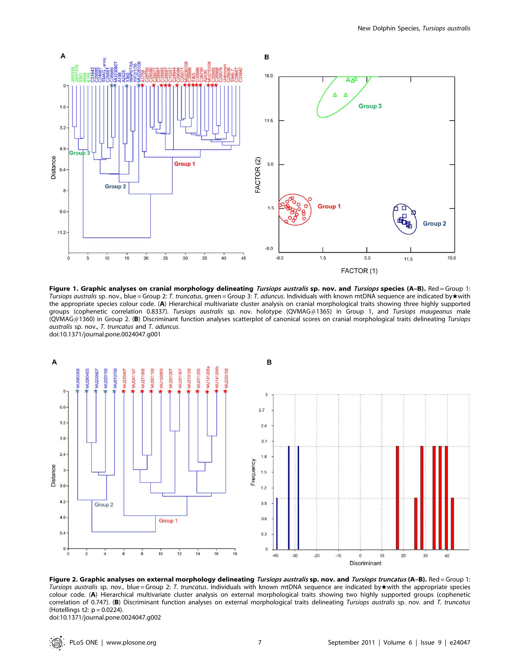

Figure 1. Graphic analyses on cranial morphology delineating Tursiops australis sp. nov. and Tursiops species (A-B). Red = Group 1: Tursiops australis sp. nov., blue = Group 2: T. truncatus, green = Group 3: T. aduncus. Individuals with known mtDNA sequence are indicated by $\star$ with the appropriate species colour code. (A) Hierarchical multivariate cluster analysis on cranial morphological traits showing three highly supported groups (cophenetic correlation 0.8337). Tursiops australis sp. nov. holotype (QVMAG#1365) in Group 1, and Tursiops maugeanus male (QVMAG#1360) in Group 2. (B) Discriminant function analyses scatterplot of canonical scores on cranial morphological traits delineating Tursiops australis sp. nov., T. truncatus and T. aduncus. doi:10.1371/journal.pone.0024047.g001



Figure 2. Graphic analyses on external morphology delineating Tursiops australis sp. nov. and Tursiops truncatus (A-B). Red = Group 1: Tursiops australis sp. nov., blue = Group 2: T. truncatus. Individuals with known mtDNA sequence are indicated by\*with the appropriate species colour code. (A) Hierarchical multivariate cluster analysis on external morphological traits showing two highly supported groups (cophenetic correlation of 0.747). (B) Discriminant function analyses on external morphological traits delineating Tursiops australis sp. nov. and T. truncatus (Hotellings t2:  $p = 0.0224$ ). doi:10.1371/journal.pone.0024047.g002

 $\mathbb{Q}$  .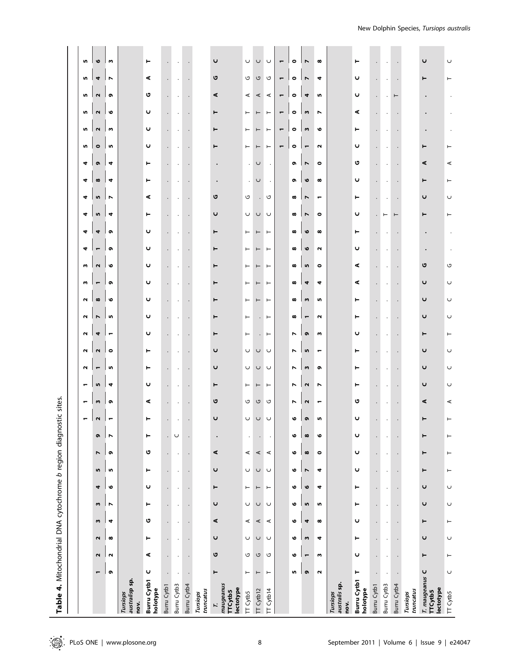| Table 4. Mitochondrial DNA cytochrome b region diagnostic sites. |                      |                   |                   |                |                |                      |                       |                      |                                 |                               |                |                |                      |                |                |                   |            |                      |                |                    |                            |                |                       |                |             |                           |           |                          |                          |
|------------------------------------------------------------------|----------------------|-------------------|-------------------|----------------|----------------|----------------------|-----------------------|----------------------|---------------------------------|-------------------------------|----------------|----------------|----------------------|----------------|----------------|-------------------|------------|----------------------|----------------|--------------------|----------------------------|----------------|-----------------------|----------------|-------------|---------------------------|-----------|--------------------------|--------------------------|
|                                                                  |                      |                   |                   |                |                |                      |                       |                      |                                 |                               |                |                |                      |                |                |                   |            |                      |                |                    |                            |                |                       |                |             |                           |           |                          |                          |
|                                                                  |                      |                   |                   |                |                |                      |                       |                      |                                 | $\overline{\phantom{0}}$<br>- | $\overline{ }$ | $\sim$ $\sim$  | $N$   $N$            | $N \mid 4$     | $N \mid N$     | $\sim$ 1 $\infty$ | $m \mid -$ | m   N                | 4              | 4   4              | 4<br>4   In                | ব   ∞          | $4 \mid 9$            | n   0          | <b>10 N</b> | $n \mid N$                | n   N     | n   4                    | ო ∣ დ                    |
|                                                                  | $\overline{ }$       | $\mathbf{\Omega}$ | $\mathbf{\Omega}$ | w              | w              | 4                    | n,                    | $\overline{ }$       | G                               | ო<br>∣ ∾                      | ∣ ທ            |                |                      |                |                |                   |            |                      | $\overline{ }$ |                    | <u>  ທ</u>                 |                |                       |                |             |                           |           |                          |                          |
|                                                                  | ō                    | $\sim$            | $\infty$          | 4              | N              | ৩                    | m                     | ō                    | N                               | o                             | 4              | m              | ۰                    | -              | m              | O                 | ō          | O                    | ō              | ō                  | N<br>4                     | 4              | 4                     | m              | w           | O                         | ō         | N                        | w                        |
| australisp sp.<br>Tursiops<br>nov.                               |                      |                   |                   |                |                |                      |                       |                      |                                 |                               |                |                |                      |                |                |                   |            |                      |                |                    |                            |                |                       |                |             |                           |           |                          |                          |
| Burru Cytb1<br>holotype                                          | $\cup$               | ⋖                 | ۳                 | O              | ۳              | U                    | ۳                     | O                    | ۳                               | ⋖<br>۳                        | U              | ۳              | ۳                    | U              | U              | U                 | U          | U                    | U              | U                  | ⋖<br>۳                     | ۳              | ۳                     | U              | U           | U                         | U         | ⋖                        | ۳                        |
| Burru Cytb1                                                      | $\cdot$              |                   |                   |                |                |                      |                       |                      | $\cdot$                         |                               |                |                |                      |                |                |                   |            |                      |                |                    |                            |                |                       |                |             |                           |           |                          |                          |
| Burru Cytb3                                                      | $\cdot$              | $\cdot$           | $\cdot$           | $\cdot$        | $\blacksquare$ | $\ddot{\phantom{0}}$ | $\cdot$               | $\cdot$              | $\cdot$<br>$\cup$               | $\blacksquare$                | $\blacksquare$ | $\cdot$        | $\cdot$              | $\cdot$        | $\cdot$        | $\blacksquare$    | $\cdot$    | $\cdot$              | $\bullet$      | $\cdot$<br>$\cdot$ | $\cdot$                    | $\cdot$        | $\cdot$               | $\blacksquare$ | $\cdot$     | $\cdot$                   | $\bullet$ |                          | $\cdot$                  |
| Burru Cytb4                                                      | $\cdot$              | $\cdot$           | $\cdot$           | $\cdot$        | $\blacksquare$ | $\cdot$              | $\cdot$               | $\blacksquare$       | $\cdot$<br>$\cdot$              | $\cdot$                       | $\blacksquare$ | $\blacksquare$ | $\cdot$              |                | $\blacksquare$ | $\cdot$           |            | $\cdot$              | $\cdot$        | $\blacksquare$     | $\cdot$<br>$\cdot$         |                |                       | $\cdot$        | $\cdot$     | $\cdot$                   | $\cdot$   | $\cdot$                  |                          |
| truncatus<br>Tursiops                                            |                      |                   |                   |                |                |                      |                       |                      |                                 |                               |                |                |                      |                |                |                   |            |                      |                |                    |                            |                |                       |                |             |                           |           |                          |                          |
| maugeanus<br>lectotype<br>TTCytb5<br>$\mathbf{r}$                | ۳                    | U                 | U                 | ⋖              | U              | ۳                    | U                     | ⋖                    | $\bullet$                       | U<br>U                        | ۳              | U              | U                    | ۳              | ۳              | ۳                 | ۳          | ۳                    | ۳              | ۳                  | ט<br>U                     | $\bullet$      | $\bullet$             | ۳              | ۳           | ۳                         | ⋖         | U                        | U                        |
| TT Cytb5                                                         | $\vdash$             | U                 | U                 | $\prec$        | $\cup$         | $\vdash$             | $\cup$                | $\prec$              | $\cdot$                         | G<br>U                        | $\vdash$       | $\cup$         | U                    | $\vdash$       | $\vdash$       | Н                 | $\vdash$   | $\vdash$             | $\vdash$       | $\vdash$           | G<br>$\cup$                | $\bullet$      | $\blacksquare$        | $\vdash$       | $\vdash$    | $\vdash$                  | $\prec$   | G                        | $\cup$                   |
| TT Cytb12                                                        | $\vdash$             | U                 | U                 | $\prec$        | $\cup$         | $\vdash$             | $\cup$                | $\prec$              | $\cdot$                         | G<br>$\cup$                   | $\vdash$       | $\cup$         | $\cup$               | $\blacksquare$ | $\sim$         | ⊢                 | ⊢          | $\vdash$             | ⊢              | $\vdash$           | $\cdot$<br>$\cup$ $\cup$   | $\cup$         | $\cup$                | $\vdash$       | $\vdash$    | $\vdash$                  | $\prec$   | U                        | $\cup$                   |
| TT Cytb14                                                        | $\vdash$             | U                 | $\cup$            | $\prec$        | $\cup$         | $\vdash$             | $\cup$                | $\prec$              | $\cdot$                         | U<br>$\cup$                   | $\vdash$       | ∣∪             | $\cup$               | ⊢              | $\vdash$       |                   | ⊢          | $\vdash$             | $\vdash$       | $\vdash$           | U                          | $\bullet$      |                       | $\vdash$       | $\vdash$    | $\vdash$                  | $\prec$   | U                        | $\cup$                   |
|                                                                  |                      |                   |                   |                |                |                      |                       |                      |                                 |                               |                |                |                      |                |                |                   |            |                      |                |                    |                            |                |                       |                |             | $-1$                      |           |                          | $\blacksquare$           |
|                                                                  | w                    | O                 | ৩                 | O              | o              | ৩                    | ৩                     | o                    | o                               | N<br>۰                        | N              | Z              | N                    | N              | œ              | œ                 | $\infty$   | œ                    | $\infty$       | œ                  | ø<br>œ                     | o              | Ğ                     | $\bullet$      | $\bullet$   | $\bullet$                 | $\bullet$ | $\bullet$                | $\bullet$                |
|                                                                  | G                    | $\overline{ }$    | w                 | 4              | 5              | $\mathbf{o}$         | $\blacktriangleright$ | $\pmb{\infty}$       | $\pmb{\infty}$                  | $\sim$<br>G                   | $\sim$         | w              | m                    | G              |                | w                 | 4          | m                    | $\bullet$      | $\bullet$          | $\overline{\phantom{a}}$   | $\bullet$      | $\blacktriangleright$ |                | w           | $\boldsymbol{\mathsf{m}}$ | 4         | $\overline{\phantom{a}}$ | $\overline{\phantom{a}}$ |
|                                                                  | $\sim$               | m                 | 4                 | $\pmb{\infty}$ | <b>In</b>      | 4                    | 4                     | $\circ$              | ဖ                               | m                             | $\overline{ }$ | o              |                      | m              | $\sim$         | m                 | 4          | $\bullet$            | $\sim$         | $\infty$           | $\bullet$                  | $\pmb{\infty}$ | $\bullet$             | Z              | O           | $\triangleright$          | m         | 4                        | $\infty$                 |
| australis sp.<br>Tursiops<br>nov.                                |                      |                   |                   |                |                |                      |                       |                      |                                 |                               |                |                |                      |                |                |                   |            |                      |                |                    |                            |                |                       |                |             |                           |           |                          |                          |
| Burru Cytb1 T<br>holotype                                        |                      | U                 | ۳                 | U              | ۳              | ۳                    | U                     | U                    | U                               | U<br>U                        | ۳              | ۳              | ۳                    | U              | ۳              | ۳                 | ⋖          | ⋖                    | U              | ۳                  | ۳<br>U                     | U              | U                     | U              | ۳           | ⋖                         | U         | U                        | ۳                        |
| Burru Cytb1                                                      | $\cdot$              | $\blacksquare$    | $\cdot$           | $\blacksquare$ | $\cdot$        | $\blacksquare$       | $\cdot$               | $\cdot$              | $\blacksquare$<br>$\cdot$       |                               |                | $\cdot$        | $\cdot$              |                | $\blacksquare$ |                   |            | $\blacksquare$       |                |                    |                            |                | $\cdot$               |                |             |                           |           |                          |                          |
| Burru Cytb3                                                      | $\cdot$              | $\cdot$           | $\cdot$           | $\cdot$        | $\cdot$        | $\cdot$              | $\cdot$               | $\cdot$              | $\cdot$<br>$\cdot$              | $\cdot$                       | $\cdot$        | $\cdot$        | $\cdot$              | $\cdot$        | $\cdot$        | $\cdot$           | $\cdot$    | $\ddot{\phantom{a}}$ | $\cdot$        | $\cdot$            | $\blacksquare$<br>$\vdash$ | $\cdot$        | $\cdot$               | $\cdot$        | $\cdot$     | $\cdot$                   | $\cdot$   | $\cdot$                  |                          |
| Burru Cytb4                                                      | $\ddot{\phantom{0}}$ | $\cdot$           | $\cdot$           | $\cdot$        | $\cdot$        | $\cdot$              | $\cdot$               | $\ddot{\phantom{0}}$ | $\cdot$<br>$\ddot{\phantom{0}}$ | $\ddot{\phantom{0}}$          | $\cdot$        | $\cdot$        | $\ddot{\phantom{0}}$ | $\cdot$        | $\cdot$        | $\blacksquare$    | $\cdot$    | $\ddot{\phantom{0}}$ | $\cdot$        | $\cdot$            | $\cdot$<br>$\vdash$        | $\cdot$        | $\ddot{\phantom{0}}$  | $\cdot$        | $\cdot$     | $\cdot$                   | $\vdash$  | $\cdot$                  | $\ddot{\phantom{0}}$     |
| truncatus<br>Tursiops                                            |                      |                   |                   |                |                |                      |                       |                      |                                 |                               |                |                |                      |                |                |                   |            |                      |                |                    |                            |                |                       |                |             |                           |           |                          |                          |
| T. maugeanus C<br>lectotype<br><b>TTCytb5</b>                    |                      | ۳                 | U                 | ۳              | U              | U                    | ۳                     | ۳                    | ۳                               | ⋖<br>۳                        | U              | U              | U                    | ۳              | U              | U                 | U          | O                    | $\bullet$      | $\bullet$          | U<br>۳                     | ۳              | ⋖                     | ⊢              | $\bullet$   | $\bullet$                 | $\bullet$ | ۳                        | U                        |
| TT Cytb5                                                         | U                    | $\vdash$          | U                 | ⊢              | U              | U                    | $\vdash$              | $\vdash$             | ⊢<br>۳                          | ⋖                             | U              | U              | U                    | ⊢              | U              | U                 | U          | U                    |                |                    | U<br>⊢                     | ⊢              | ⋖                     | ⊢              | $\bullet$   |                           | $\bullet$ | ⊢                        | $\cup$                   |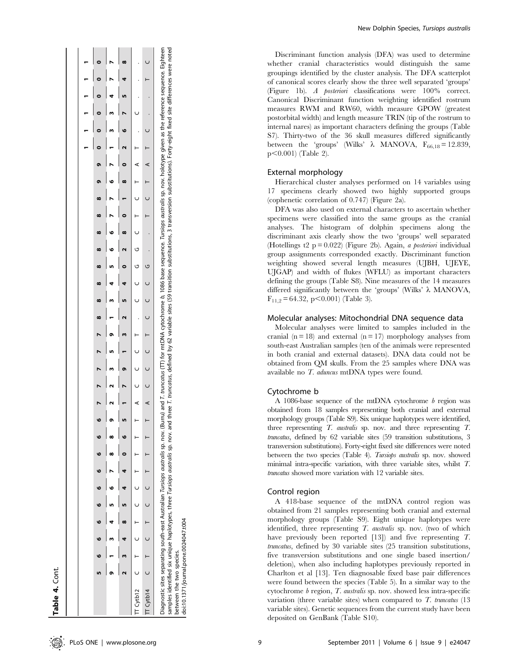| T Cytb12 C T C T C C                                                                                                                                                                                                                                                                                                                                                                                                                                                                              |  |  |  |  |  |  |  |  |  |  |  |  |  |  |  |
|---------------------------------------------------------------------------------------------------------------------------------------------------------------------------------------------------------------------------------------------------------------------------------------------------------------------------------------------------------------------------------------------------------------------------------------------------------------------------------------------------|--|--|--|--|--|--|--|--|--|--|--|--|--|--|--|
| T Cytb14                                                                                                                                                                                                                                                                                                                                                                                                                                                                                          |  |  |  |  |  |  |  |  |  |  |  |  |  |  |  |
| samples identified six unique haplotypes, three Tursiops australis sp. nov. and three T. truncatus, defined by 62 variable sites (59 transition substitutions, 3 transversion substitutions). Forty-eight fixed site differenc<br>Diagnostic sites separating south-east Australian Tursiops <i>custralis</i> sp. nov. (Burru) and T. truncatus (TT) for mtDNA cytochrome b, 1086 base sequence. Tursiops australis sp. nov. holotype given as the reference sequence<br>between the two species. |  |  |  |  |  |  |  |  |  |  |  |  |  |  |  |
|                                                                                                                                                                                                                                                                                                                                                                                                                                                                                                   |  |  |  |  |  |  |  |  |  |  |  |  |  |  |  |

New Dolphin Species, Tursiops australis

Discriminant function analysis (DFA) was used to determine whether cranial characteristics would distinguish the same groupings identified by the cluster analysis. The DFA scatterplot of canonical scores clearly show the three well separated 'groups' (Figure 1b). A posteriori classifications were 100% correct. Canonical Discriminant function weighting identified rostrum measures RWM and RW60, width measure GPOW (greatest postorbital width) and length measure TRIN (tip of the rostrum to internal nares) as important characters defining the groups (Table S7). Thirty-two of the 36 skull measures differed significantly between the 'groups' (Wilks'  $\lambda$  MANOVA,  $F_{66,18} = 12.839$ ,  $p<0.001$  (Table 2).

# External morphology

Hierarchical cluster analyses performed on 14 variables using 17 specimens clearly showed two highly supported groups (cophenetic correlation of 0.747) (Figure 2a).

DFA was also used on external characters to ascertain whether specimens were classified into the same groups as the cranial analyses. The histogram of dolphin specimens along the discriminant axis clearly show the two 'groups' well separated (Hotellings t2  $p = 0.022$ ) (Figure 2b). Again, *a posteriori* individual group assignments corresponded exactly. Discriminant function weighting showed several length measures (UJBH, UJEYE, UJGAP) and width of flukes (WFLU) as important characters defining the groups (Table S8). Nine measures of the 14 measures differed significantly between the 'groups' (Wilks'  $\lambda$  MANOVA,  $F_{11,2} = 64.32$ , p $< 0.001$ ) (Table 3).

# Molecular analyses: Mitochondrial DNA sequence data

Molecular analyses were limited to samples included in the cranial ( $n = 18$ ) and external ( $n = 17$ ) morphology analyses from south-east Australian samples (ten of the animals were represented in both cranial and external datasets). DNA data could not be obtained from QM skulls. From the 25 samples where DNA was available no T. aduncus mtDNA types were found.

# Cytochrome b

A 1086-base sequence of the mtDNA cytochrome  $b$  region was obtained from 18 samples representing both cranial and external morphology groups (Table S9). Six unique haplotypes were identified, three representing T. australis sp. nov. and three representing T. truncatus, defined by 62 variable sites (59 transition substitutions, 3 transversion substitutions). Forty-eight fixed site differences were noted between the two species (Table 4). Tursiops australis sp. nov. showed minimal intra-specific variation, with three variable sites, whilst T. truncatus showed more variation with 12 variable sites.

# Control region

A 418-base sequence of the mtDNA control region was obtained from 21 samples representing both cranial and external morphology groups (Table S9). Eight unique haplotypes were identified, three representing T. australis sp. nov. (two of which have previously been reported [13]) and five representing T. truncatus, defined by 30 variable sites (25 transition substitutions, five transversion substitutions and one single based insertion/ deletion), when also including haplotypes previously reported in Charlton et al [13]. Ten diagnosable fixed base pair differences were found between the species (Table 5). In a similar way to the cytochrome b region, T. australis sp. nov. showed less intra-specific variation (three variable sites) when compared to  $T$ . truncatus (13) variable sites). Genetic sequences from the current study have been deposited on GenBank (Table S10).

doi:10.1371/journal.pone.0024047.t004

ġ

10.1371/journal.pone.0024047.t00

Table 4.

Table 4. Cont.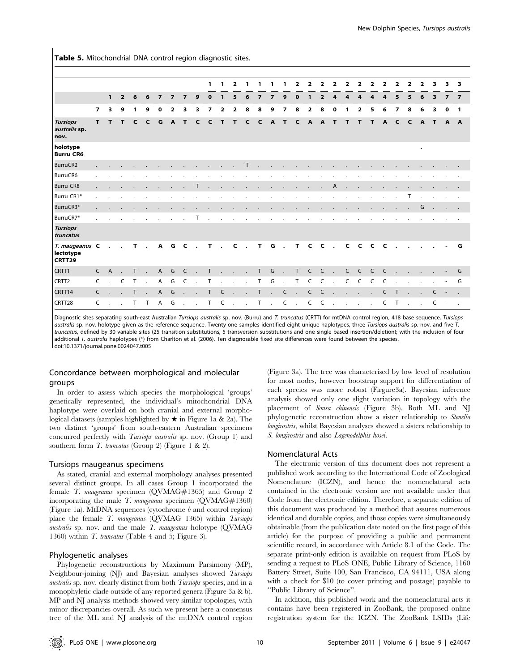Table 5. Mitochondrial DNA control region diagnostic sites.

|                                              |                      |                |                |              |                     |              |                |              |                      | 1                    | 1                    | $\mathbf{z}$         |                      |                      |              |         | 2            | 2                       | 2                       | 2                           | 2            | 2                       | 2            |   | 2              |              | 2            | з                    | 3                        | 3                       |
|----------------------------------------------|----------------------|----------------|----------------|--------------|---------------------|--------------|----------------|--------------|----------------------|----------------------|----------------------|----------------------|----------------------|----------------------|--------------|---------|--------------|-------------------------|-------------------------|-----------------------------|--------------|-------------------------|--------------|---|----------------|--------------|--------------|----------------------|--------------------------|-------------------------|
|                                              |                      | $\mathbf{1}$   | $\overline{2}$ | 6            | 6                   | 7            | 7              | 7            | 9                    | Ω                    |                      | 5                    |                      | 7                    | 7            | q       | $\Omega$     |                         | $\overline{\mathbf{2}}$ |                             | $\sqrt{ }$   | 4                       | 4            |   | 5              | 5            | 6            | 3                    | $\overline{ }$           | $\overline{ }$          |
|                                              | $\overline{ }$       | 3              | 9              |              | 9                   | 0            | $\overline{2}$ | 3            | 3                    | 7                    | $\overline{2}$       | $\overline{2}$       | 8                    | 8                    | 9            | 7       | 8            | $\overline{\mathbf{2}}$ | 8                       | U                           | 1            | $\overline{\mathbf{2}}$ | 5            | 6 | $\overline{ }$ | 8            | 6            | 3                    | 0                        | $\overline{\mathbf{1}}$ |
| <b>Tursiops</b><br>australis sp.<br>nov.     | T.                   | $\mathbf{r}$   | т              | $\mathsf{C}$ | C                   | G            | $\overline{A}$ | T.           | C                    | $\mathsf{C}$         | T                    | T.                   | $\mathsf{C}$         | $\mathsf{C}$         | $\mathbf{A}$ | T       | $\mathsf{C}$ | $\overline{A}$          | $\mathbf{A}$            | T                           | T.           | T.                      | T            | A | $\mathsf{C}$   | $\mathsf{C}$ | $\mathbf{A}$ | $\mathbf{T}$         | A A                      |                         |
| holotype<br>Burru CR6                        |                      |                |                |              |                     |              |                |              |                      |                      |                      |                      |                      |                      |              |         |              |                         |                         |                             |              |                         |              |   |                |              | $\bullet$    |                      |                          |                         |
| <b>BurruCR2</b>                              |                      |                |                |              |                     |              |                |              |                      |                      |                      |                      | Τ                    | $\ddot{\phantom{a}}$ |              |         |              |                         |                         |                             |              |                         |              |   |                |              |              |                      |                          |                         |
| <b>BurruCR6</b>                              | $\ddot{\phantom{0}}$ |                |                |              |                     |              |                |              |                      |                      |                      |                      |                      |                      |              |         |              |                         |                         |                             |              |                         |              |   |                |              |              |                      |                          |                         |
| <b>Burru CR8</b>                             | $\ddot{\phantom{0}}$ |                |                |              |                     | $\mathbf{r}$ |                |              |                      | $\cdot$              | $\cdot$              | $\blacksquare$       | $\blacksquare$       | $\cdot$              |              |         |              | $\blacksquare$          | $\cdot$                 | A                           | $\cdot$      | $\bullet$               | $\cdot$      |   |                |              |              |                      | $\bullet$                | $\bullet$               |
| Burru CR1*                                   | $\ddot{\phantom{0}}$ |                |                |              |                     |              |                |              |                      |                      |                      |                      |                      |                      |              |         |              |                         |                         |                             |              |                         |              |   |                | Т            |              |                      |                          | $\bullet$               |
| BurruCR3*                                    | $\ddot{\phantom{0}}$ |                |                |              |                     |              |                |              |                      |                      |                      |                      |                      |                      |              |         |              |                         |                         |                             |              |                         |              |   |                |              | G            |                      |                          | $\bullet$               |
| BurruCR7*                                    |                      |                |                |              |                     |              |                |              |                      | $\ddot{\phantom{a}}$ |                      |                      |                      |                      |              |         |              |                         |                         |                             |              |                         |              |   |                |              |              | $\cdot$              |                          | $\cdot$                 |
| <b>Tursiops</b><br>truncatus                 |                      |                |                |              |                     |              |                |              |                      |                      |                      |                      |                      |                      |              |         |              |                         |                         |                             |              |                         |              |   |                |              |              |                      |                          |                         |
| T. maugeanus C<br>lectotype<br><b>CRTT29</b> |                      |                |                | т            |                     | Α            | G              | C            |                      | т                    | $\ddot{\phantom{0}}$ | C                    | $\cdot$              | т                    | G            | $\cdot$ | т            | C                       | $\mathsf{C}$            | $\sim$                      | C            | $\mathsf{C}$            | $\mathsf{C}$ | C |                |              |              |                      |                          | G                       |
| CRTT <sub>1</sub>                            | $\mathsf{C}$         | $\overline{A}$ |                | Т            | $\blacksquare$      | $\mathsf{A}$ | G              | C            | $\ddot{\phantom{a}}$ | $\mathsf{T}$         | $\ddot{\phantom{a}}$ | $\blacksquare$       | $\Box$               | $\mathsf{T}$         | G            | $\Box$  | T            | C                       | C                       |                             | C            | C                       | C            | C |                |              |              |                      |                          | G                       |
| CRTT <sub>2</sub>                            | $\mathsf{C}$         |                | C              | T.           | $\mathcal{L}^{\pm}$ | A            | G              | C            | $\sim$               | Τ                    | $\sim$               | $\epsilon$           | $\ddot{\phantom{a}}$ | T                    | G            | $\sim$  | T            | C                       | $\mathsf C$             | $\mathcal{L}_{\mathcal{A}}$ | $\mathsf{C}$ | C                       | C            | C |                |              | $\mathbf{r}$ | $\ddot{\phantom{a}}$ | $\overline{\phantom{a}}$ | G                       |
| CRTT14                                       | C                    |                |                | T.           | $\sim$              | $\mathsf{A}$ | G              | $\mathbf{r}$ | $\blacksquare$       | $\mathsf{T}$         | C                    | $\ddot{\phantom{a}}$ | $\mathcal{L}$        | $T$ .                |              | C       | $\sim$       | C                       | $\mathsf{C}$            | $\overline{\phantom{a}}$    |              |                         | ۰            | C | ⊕              |              |              | C                    | $\sim$                   | $\bullet$               |
| CRTT28                                       | C                    |                |                | Τ            | T                   | Α            | G              | $\mathbf{r}$ |                      | Τ                    | C                    | $\epsilon$           |                      | $\mathsf T$          | $\mathbf{r}$ | C       | $\sim$       | C                       | C                       |                             |              |                         |              | C | $\top$         |              |              | C                    |                          | $\overline{a}$          |

Diagnostic sites separating south-east Australian Tursiops australis sp. nov. (Burru) and T. truncatus (CRTT) for mtDNA control region, 418 base sequence. Tursiops australis sp. nov. holotype given as the reference sequence. Twenty-one samples identified eight unique haplotypes, three Tursiops australis sp. nov. and five T. truncatus, defined by 30 variable sites (25 transition substitutions, 5 transversion substitutions and one single based insertion/deletion); with the inclusion of four additional T. australis haplotypes (\*) from Charlton et al. (2006). Ten diagnosable fixed site differences were found between the species. doi:10.1371/journal.pone.0024047.t005

# Concordance between morphological and molecular groups

In order to assess which species the morphological 'groups' genetically represented, the individual's mitochondrial DNA haplotype were overlaid on both cranial and external morphological datasets (samples highlighted by  $\star$  in Figure 1a & 2a). The two distinct 'groups' from south-eastern Australian specimens concurred perfectly with Tursiops australis sp. nov. (Group 1) and southern form  $T$ , truncatus (Group 2) (Figure 1 & 2).

#### Tursiops maugeanus specimens

As stated, cranial and external morphology analyses presented several distinct groups. In all cases Group 1 incorporated the female T. maugeanus specimen (QVMAG#1365) and Group 2 incorporating the male  $T$ . maugeanus specimen (QVMAG#1360) (Figure 1a). MtDNA sequences (cytochrome b and control region) place the female T. maugeanus (QVMAG 1365) within Tursiops australis sp. nov. and the male  $T$ . maugeanus holotype (QVMAG 1360) within  $T$ . truncatus (Table 4 and 5; Figure 3).

# Phylogenetic analyses

Phylogenetic reconstructions by Maximum Parsimony (MP), Neighbour-joining (NJ) and Bayesian analyses showed Tursiops australis sp. nov. clearly distinct from both Tursiops species, and in a monophyletic clade outside of any reported genera (Figure 3a & b). MP and NJ analysis methods showed very similar topologies, with minor discrepancies overall. As such we present here a consensus tree of the ML and NJ analysis of the mtDNA control region (Figure 3a). The tree was characterised by low level of resolution for most nodes, however bootstrap support for differentiation of each species was more robust (Firgure3a). Bayesian inference analysis showed only one slight variation in topology with the placement of Sousa chinensis (Figure 3b). Both ML and NJ phylogenetic reconstruction show a sister relationship to Stenella longirostris, whilst Bayesian analyses showed a sisters relationship to S. longirostris and also Lagenodelphis hosei.

# Nomenclatural Acts

The electronic version of this document does not represent a published work according to the International Code of Zoological Nomenclature (ICZN), and hence the nomenclatural acts contained in the electronic version are not available under that Code from the electronic edition. Therefore, a separate edition of this document was produced by a method that assures numerous identical and durable copies, and those copies were simultaneously obtainable (from the publication date noted on the first page of this article) for the purpose of providing a public and permanent scientific record, in accordance with Article 8.1 of the Code. The separate print-only edition is available on request from PLoS by sending a request to PLoS ONE, Public Library of Science, 1160 Battery Street, Suite 100, San Francisco, CA 94111, USA along with a check for \$10 (to cover printing and postage) payable to ''Public Library of Science''.

In addition, this published work and the nomenclatural acts it contains have been registered in ZooBank, the proposed online registration system for the ICZN. The ZooBank LSIDs (Life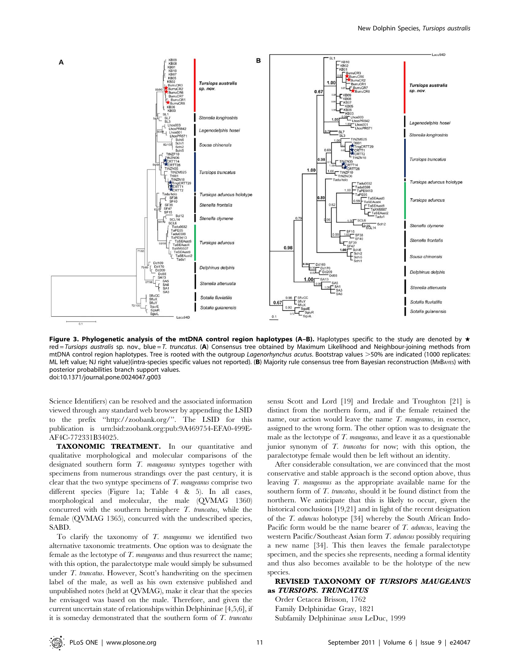

Figure 3. Phylogenetic analysis of the mtDNA control region haplotypes (A–B). Haplotypes specific to the study are denoted by  $\star$ red = Tursiops australis sp. nov., blue = T. truncatus. (A) Consensus tree obtained by Maximum Likelihood and Neighbour-joining methods from mtDNA control region haplotypes. Tree is rooted with the outgroup Lagenorhynchus acutus. Bootstrap values >50% are indicated (1000 replicates: ML left value; NJ right value)(intra-species specific values not reported). (B) Majority rule consensus tree from Bayesian reconstruction (MRBAYES) with posterior probabilities branch support values. doi:10.1371/journal.pone.0024047.g003

Science Identifiers) can be resolved and the associated information viewed through any standard web browser by appending the LSID to the prefix ''http://zoobank.org/''. The LSID for this publication is urn:lsid:zoobank.org:pub:9A469754-EFA0-499E-AF4C-772331B34025.

TAXONOMIC TREATMENT. In our quantitative and qualitative morphological and molecular comparisons of the designated southern form T. maugeanus syntypes together with specimens from numerous strandings over the past century, it is clear that the two syntype specimens of  $T$ . maugeanus comprise two different species (Figure 1a; Table 4 & 5). In all cases, morphological and molecular, the male (QVMAG 1360) concurred with the southern hemisphere  $T$ . truncatus, while the female (QVMAG 1365), concurred with the undescribed species, SABD.

To clarify the taxonomy of  $T$ . maugeanus we identified two alternative taxonomic treatments. One option was to designate the female as the lectotype of  $T$ . maugeanus and thus resurrect the name; with this option, the paralectotype male would simply be subsumed under T. truncatus. However, Scott's handwriting on the specimen label of the male, as well as his own extensive published and unpublished notes (held at QVMAG), make it clear that the species he envisaged was based on the male. Therefore, and given the current uncertain state of relationships within Delphininae [4,5,6], if it is someday demonstrated that the southern form of  $T$ . truncatus

sensu Scott and Lord [19] and Iredale and Troughton [21] is distinct from the northern form, and if the female retained the name, our action would leave the name  $T$ . maugeanus, in essence, assigned to the wrong form. The other option was to designate the male as the lectotype of  $T$ . maugeanus, and leave it as a questionable junior synonym of T. truncatus for now; with this option, the paralectotype female would then be left without an identity.

After considerable consultation, we are convinced that the most conservative and stable approach is the second option above, thus leaving T. maugeanus as the appropriate available name for the southern form of T. truncatus, should it be found distinct from the northern. We anticipate that this is likely to occur, given the historical conclusions [19,21] and in light of the recent designation of the T. aduncus holotype [34] whereby the South African Indo-Pacific form would be the name bearer of  $T$ . *aduncus*, leaving the western Pacific/Southeast Asian form T. aduncus possibly requiring a new name [34]. This then leaves the female paralectotype specimen, and the species she represents, needing a formal identity and thus also becomes available to be the holotype of the new species.

# REVISED TAXONOMY OF TURSIOPS MAUGEANUS as TURSIOPS. TRUNCATUS

Order Cetacea Brisson, 1762 Family Delphinidae Gray, 1821 Subfamily Delphininae sensu LeDuc, 1999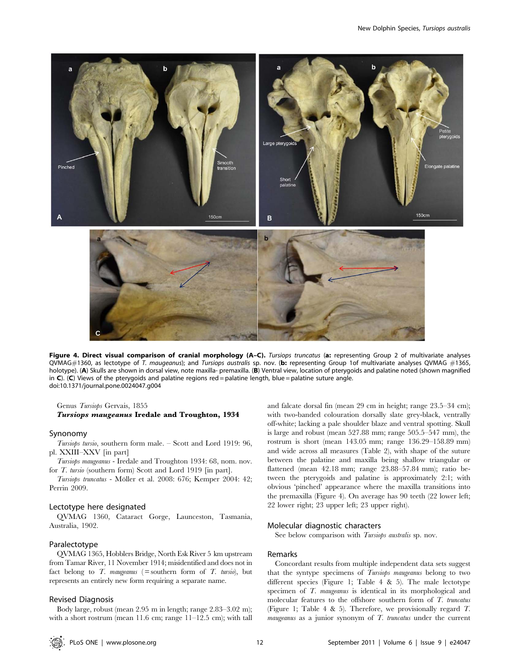

Figure 4. Direct visual comparison of cranial morphology (A-C). Tursiops truncatus (a: representing Group 2 of multivariate analyses QVMAG#1360, as lectotype of T. maugeanus); and Tursiops australis sp. nov. (b: representing Group 1of multivariate analyses QVMAG #1365, holotype). (A) Skulls are shown in dorsal view, note maxilla- premaxilla. (B) Ventral view, location of pterygoids and palatine noted (shown magnified in  $C$ ). (C) Views of the pterygoids and palatine regions red = palatine length, blue = palatine suture angle. doi:10.1371/journal.pone.0024047.g004

#### Genus Tursiops Gervais, 1855

#### Tursiops maugeanus Iredale and Troughton, 1934

## Synonomy

Tursiops tursio, southern form male. – Scott and Lord 1919: 96, pl. XXIII–XXV [in part]

Tursiops maugeanus - Iredale and Troughton 1934: 68, nom. nov. for T. tursio (southern form) Scott and Lord 1919 [in part].

Tursiops truncatus - Möller et al. 2008: 676; Kemper 2004: 42; Perrin 2009.

#### Lectotype here designated

QVMAG 1360, Cataract Gorge, Launceston, Tasmania, Australia, 1902.

#### Paralectotype

QVMAG 1365, Hobblers Bridge, North Esk River 5 km upstream from Tamar River, 11 November 1914; misidentified and does not in fact belong to  $T$ . maugeanus (= southern form of  $T$ . tursio), but represents an entirely new form requiring a separate name.

#### Revised Diagnosis

Body large, robust (mean 2.95 m in length; range 2.83–3.02 m); with a short rostrum (mean 11.6 cm; range 11–12.5 cm); with tall

and falcate dorsal fin (mean 29 cm in height; range 23.5–34 cm); with two-banded colouration dorsally slate grey-black, ventrally off-white; lacking a pale shoulder blaze and ventral spotting. Skull is large and robust (mean 527.88 mm; range 505.5–547 mm), the rostrum is short (mean 143.05 mm; range 136.29–158.89 mm) and wide across all measures (Table 2), with shape of the suture between the palatine and maxilla being shallow triangular or flattened (mean 42.18 mm; range 23.88–57.84 mm); ratio between the pterygoids and palatine is approximately 2:1; with obvious 'pinched' appearance where the maxilla transitions into the premaxilla (Figure 4). On average has 90 teeth (22 lower left; 22 lower right; 23 upper left; 23 upper right).

#### Molecular diagnostic characters

See below comparison with Tursiops australis sp. nov.

# Remarks

Concordant results from multiple independent data sets suggest that the syntype specimens of Tursiops maugeanus belong to two different species (Figure 1; Table 4 & 5). The male lectotype specimen of T. maugeanus is identical in its morphological and molecular features to the offshore southern form of T. truncatus (Figure 1; Table 4 & 5). Therefore, we provisionally regard T. maugeanus as a junior synonym of  $T$ . truncatus under the current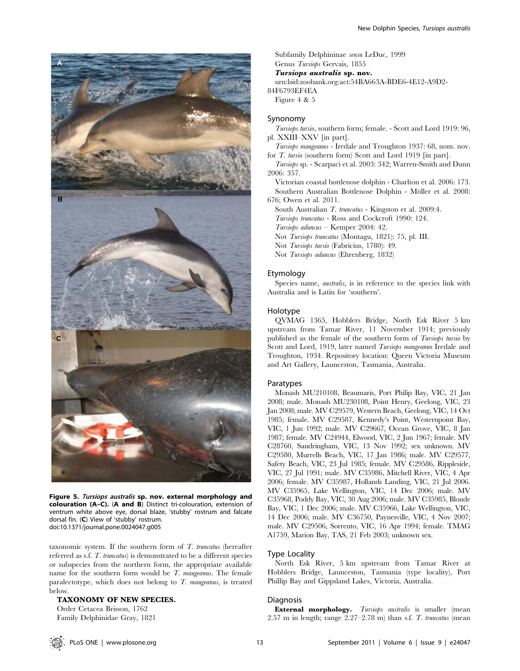

Figure 5. Tursiops australis sp. nov. external morphology and colouration (A–C). (A and B) Distinct tri-colouration, extension of ventrum white above eye, dorsal blaze, 'stubby' rostrum and falcate dorsal fin. (C) View of 'stubby' rostrum. doi:10.1371/journal.pone.0024047.g005

taxonomic system. If the southern form of T. truncatus (hereafter referred as s.f. T. truncatus) is demonstrated to be a different species or subspecies from the northern form, the appropriate available name for the southern form would be  $T$ . maugeanus. The female paralectotype, which does not belong to  $T$ . maugeanus, is treated below.

#### TAXONOMY OF NEW SPECIES.

Order Cetacea Brisson, 1762 Family Delphinidae Gray, 1821

Subfamily Delphininae sensu LeDuc, 1999 Genus Tursiops Gervais, 1855 Tursiops australis sp. nov. urn:lsid:zoobank.org:act:54BA663A-BDE6-4E12-A9D2- 84F6793EF4EA

Figure 4 & 5

# Synonomy

Tursiops tursio, southern form; female. - Scott and Lord 1919: 96, pl. XXIII–XXV [in part].

Tursiops maugeanus - Iredale and Troughton 1937: 68, nom. nov. for T. tursio (southern form) Scott and Lord 1919 [in part].

Tursiops sp. - Scarpaci et al. 2003: 342; Warren-Smith and Dunn 2006: 357.

Victorian coastal bottlenose dolphin - Charlton et al. 2006: 173. Southern Australian Bottlenose Dolphin - Möller et al. 2008: 676; Owen et al. 2011.

South Australian T. truncatus - Kingston et al. 2009:4.

Tursiops truncatus - Ross and Cockcroft 1990: 124.

Tursiops aduncus – Kemper 2004: 42.

Not Tursiops truncatus (Montagu, 1821): 75, pl. III.

Not Tursiops tursio (Fabricius, 1780): 49.

Not Tursiops aduncus (Ehrenberg, 1832)

#### Etymology

Species name, australis, is in reference to the species link with Australia and is Latin for 'southern'.

# Holotype

QVMAG 1365, Hobblers Bridge, North Esk River 5 km upstream from Tamar River, 11 November 1914; previously published as the female of the southern form of Tursiops tursio by Scott and Lord, 1919, later named Tursiops maugeanus Iredale and Troughton, 1934. Repository location: Queen Victoria Museum and Art Gallery, Launceston, Tasmania, Australia.

#### Paratypes

Monash MU210108, Beaumaris, Port Philip Bay, VIC, 21 Jan 2008; male. Monash MU230108, Point Henry, Geelong, VIC, 23 Jan 2008; male. MV C29579, Western Beach, Geelong, VIC, 14 Oct 1985; female. MV C29587, Kennedy's Point, Westernpoint Bay, VIC, 1 Jun 1992; male. MV C29667, Ocean Grove, VIC, 8 Jan 1987; female. MV C24944, Elwood, VIC, 2 Jun 1967; female. MV C28760, Sandringham, VIC, 13 Nov 1992; sex unknown. MV C29580, Murrells Beach, VIC, 17 Jan 1986; male. MV C29577, Safety Beach, VIC, 23 Jul 1985; female. MV C29586, Rippleside, VIC, 27 Jul 1991; male. MV C35986, Mitchell River, VIC, 4 Apr 2006; female. MV C35987, Hollands Landing, VIC, 21 Jul 2006. MV C35965, Lake Wellington, VIC, 14 Dec 2006; male. MV C35968, Poddy Bay, VIC, 30 Aug 2006; male. MV C35985, Blonde Bay, VIC, 1 Dec 2006; male. MV C35966, Lake Wellington, VIC, 14 Dec 2006; male. MV C36750, Paynesville, VIC, 4 Nov 2007; male. MV C29506, Sorrento, VIC, 16 Apr 1994; female. TMAG A1759, Marion Bay, TAS, 21 Feb 2003; unknown sex.

#### Type Locality

North Esk River, 5 km upstream from Tamar River at Hobblers Bridge, Launceston, Tasmania (type locality), Port Phillip Bay and Gippsland Lakes, Victoria, Australia.

# Diagnosis

External morphology. Tursiops australis is smaller (mean 2.57 m in length; range  $2.27-2.78$  m) than s.f. *T. truncatus* (mean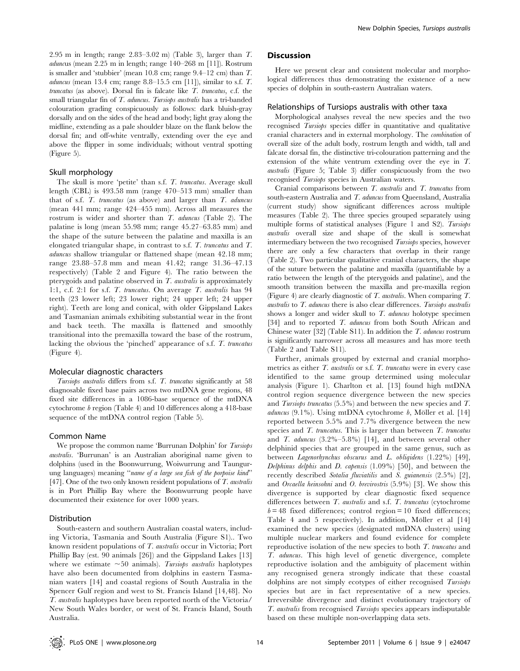2.95 m in length; range 2.83–3.02 m) (Table 3), larger than T. aduncus (mean 2.25 m in length; range 140–268 m [11]). Rostrum is smaller and 'stubbier' (mean 10.8 cm; range 9.4–12 cm) than T. *aduncus* (mean 13.4 cm; range 8.8–15.5 cm [11]), similar to s.f.  $T$ . truncatus (as above). Dorsal fin is falcate like  $T$ . truncatus, c.f. the small triangular fin of T. aduncus. Tursiops australis has a tri-banded colouration grading conspicuously as follows: dark bluish-gray dorsally and on the sides of the head and body; light gray along the midline, extending as a pale shoulder blaze on the flank below the dorsal fin; and off-white ventrally, extending over the eye and above the flipper in some individuals; without ventral spotting (Figure 5).

# Skull morphology

The skull is more 'petite' than s.f. T. truncatus. Average skull length (CBL) is 493.58 mm (range 470–513 mm) smaller than that of s.f.  $T$ . truncatus (as above) and larger than  $T$ . aduncus (mean 441 mm; range 424–455 mm). Across all measures the rostrum is wider and shorter than T. aduncus (Table 2). The palatine is long (mean 55.98 mm; range 45.27–63.85 mm) and the shape of the suture between the palatine and maxilla is an elongated triangular shape, in contrast to s.f. T. truncatus and T. aduncus shallow triangular or flattened shape (mean 42.18 mm; range 23.88–57.8 mm and mean 41.42; range 31.36–47.13 respectively) (Table 2 and Figure 4). The ratio between the pterygoids and palatine observed in T. australis is approximately 1:1, c.f. 2:1 for s.f. T. truncatus. On average T. australis has 94 teeth (23 lower left; 23 lower right; 24 upper left; 24 upper right). Teeth are long and conical, with older Gippsland Lakes and Tasmanian animals exhibiting substantial wear in the front and back teeth. The maxilla is flattened and smoothly transitional into the premaxilla toward the base of the rostrum, lacking the obvious the 'pinched' appearance of s.f. T. truncatus (Figure 4).

#### Molecular diagnostic characters

Tursiops australis differs from s.f. T. truncatus significantly at 58 diagnosable fixed base pairs across two mtDNA gene regions, 48 fixed site differences in a 1086-base sequence of the mtDNA cytochrome b region (Table 4) and 10 differences along a 418-base sequence of the mtDNA control region (Table 5).

#### Common Name

We propose the common name 'Burrunan Dolphin' for Tursiops australis. 'Burrunan' is an Australian aboriginal name given to dolphins (used in the Boonwurrung, Woiwurrung and Taungurung languages) meaning ''name of a large sea fish of the porpoise kind'' [47]. One of the two only known resident populations of  $T$ . *australis* is in Port Phillip Bay where the Boonwurrung people have documented their existence for over 1000 years.

# Distribution

South-eastern and southern Australian coastal waters, including Victoria, Tasmania and South Australia (Figure S1).. Two known resident populations of T. australis occur in Victoria; Port Phillip Bay (est. 90 animals [26]) and the Gippsland Lakes [13] where we estimate  $\sim$  50 animals). Tursiops australis haplotypes have also been documented from dolphins in eastern Tasmanian waters [14] and coastal regions of South Australia in the Spencer Gulf region and west to St. Francis Island [14,48]. No T. australis haplotypes have been reported north of the Victoria/ New South Wales border, or west of St. Francis Island, South Australia.

# **Discussion**

Here we present clear and consistent molecular and morphological differences thus demonstrating the existence of a new species of dolphin in south-eastern Australian waters.

#### Relationships of Tursiops australis with other taxa

Morphological analyses reveal the new species and the two recognised Tursiops species differ in quantitative and qualitative cranial characters and in external morphology. The combination of overall size of the adult body, rostrum length and width, tall and falcate dorsal fin, the distinctive tri-colouration patterning and the extension of the white ventrum extending over the eye in T. australis (Figure 5; Table 3) differ conspicuously from the two recognised Tursiops species in Australian waters.

Cranial comparisons between T. australis and T. truncatus from south-eastern Australia and T. aduncus from Queensland, Australia (current study) show significant differences across multiple measures (Table 2). The three species grouped separately using multiple forms of statistical analyses (Figure 1 and S2). Tursiops australis overall size and shape of the skull is somewhat intermediary between the two recognised Tursiops species, however there are only a few characters that overlap in their range (Table 2). Two particular qualitative cranial characters, the shape of the suture between the palatine and maxilla (quantifiable by a ratio between the length of the pterygoids and palatine), and the smooth transition between the maxilla and pre-maxilla region (Figure 4) are clearly diagnostic of T. australis. When comparing T. australis to T. aduncus there is also clear differences. Tursiops australis shows a longer and wider skull to  $T$ .  $aduncus$  holotype specimen [34] and to reported T. aduncus from both South African and Chinese water [32] (Table S11). In addition the  $T$ . aduncus rostrum is significantly narrower across all measures and has more teeth (Table 2 and Table S11).

Further, animals grouped by external and cranial morphometrics as either T. australis or s.f. T. truncatus were in every case identified to the same group determined using molecular analysis (Figure 1). Charlton et al. [13] found high mtDNA control region sequence divergence between the new species and Tursiops truncatus (5.5%) and between the new species and T. aduncus (9.1%). Using mtDNA cytochrome  $b$ , Möller et al. [14] reported between 5.5% and 7.7% divergence between the new species and  $T$ . truncatus. This is larger than between  $T$ . truncatus and T. aduncus (3.2%–5.8%) [14], and between several other delphinid species that are grouped in the same genus, such as between Lagenorhynchus obscurus and L. obliqidens (1.22%) [49], Delphinus delphis and D. capensis (1.09%) [50], and between the recently described Sotalia fluviatilis and S. guianensis (2.5%) [2], and Orcaella heinsohni and O. brevirostris (5.9%) [3]. We show this divergence is supported by clear diagnostic fixed sequence differences between T. australis and s.f. T. truncatus (cytochrome  $b = 48$  fixed differences; control region = 10 fixed differences; Table 4 and 5 respectively). In addition, Möller et al [14] examined the new species (designated mtDNA clusters) using multiple nuclear markers and found evidence for complete reproductive isolation of the new species to both T. truncatus and T. aduncus. This high level of genetic divergence, complete reproductive isolation and the ambiguity of placement within any recognised genera strongly indicate that these coastal dolphins are not simply ecotypes of either recognised Tursiops species but are in fact representative of a new species. Irreversible divergence and distinct evolutionary trajectory of T. australis from recognised Tursiops species appears indisputable based on these multiple non-overlapping data sets.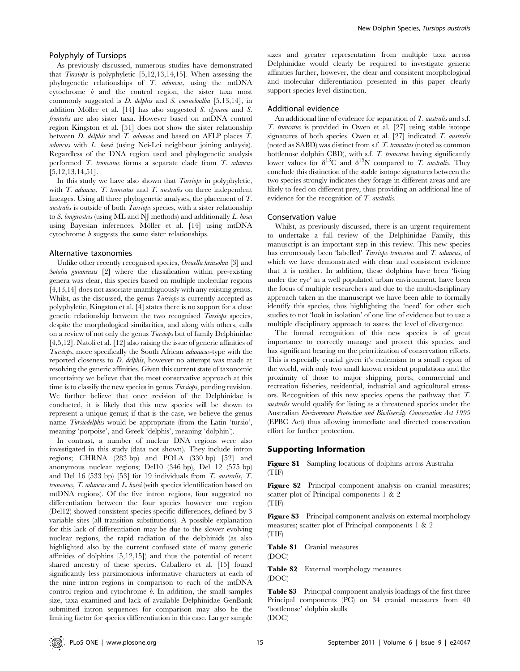# Polyphyly of Tursiops

As previously discussed, numerous studies have demonstrated that Tursiops is polyphyletic [5,12,13,14,15]. When assessing the phylogenetic relationships of T. aduncus, using the mtDNA cytochrome b and the control region, the sister taxa most commonly suggested is D. delphis and S. coerueloalba [5,13,14], in addition Möller et al.  $[14]$  has also suggested S. *clymene* and S. frontalis are also sister taxa. However based on mtDNA control region Kingston et al. [51] does not show the sister relationship between D. delphis and T. aduncus and based on AFLP places T. aduncus with L. hosei (using Nei-Lei neighbour joining anlaysis). Regardless of the DNA region used and phylogenetic analysis performed T. truncatus forms a separate clade from T. aduncus [5,12,13,14,51].

In this study we have also shown that *Tursiops* in polyphyletic, with  $T$ . *aduncus*,  $T$ . *truncatus* and  $T$ . *australis* on three independent lineages. Using all three phylogenetic analyses, the placement of T. australis is outside of both Tursiops species, with a sister relationship to S. longirostris (using ML and NJ methods) and additionally L. hosei using Bayesian inferences. Möller et al. [14] using mtDNA cytochrome b suggests the same sister relationships.

# Alternative taxonomies

Unlike other recently recognised species, Orcaella heinsohni [3] and Sotalia guianensis [2] where the classification within pre-existing genera was clear, this species based on multiple molecular regions [4,13,14] does not associate unambiguously with any existing genus. Whilst, as the discussed, the genus *Tursiops* is currently accepted as polyphyletic, Kingston et al. [4] states there is no support for a close genetic relationship between the two recognised Tursiops species, despite the morphological similarities, and along with others, calls on a review of not only the genus Tursiops but of family Delphinidae [4,5,12]. Natoli et al. [12] also raising the issue of generic affinities of Tursiops, more specifically the South African adunucus-type with the reported closeness to D. delphis, however no attempt was made at resolving the generic affinities. Given this current state of taxonomic uncertainty we believe that the most conservative approach at this time is to classify the new species in genus *Tursiops*, pending revision. We further believe that once revision of the Delphinidae is conducted, it is likely that this new species will be shown to represent a unique genus; if that is the case, we believe the genus name Tursiodelphis would be appropriate (from the Latin 'tursio', meaning 'porpoise', and Greek 'delphis', meaning 'dolphin').

In contrast, a number of nuclear DNA regions were also investigated in this study (data not shown). They include intron regions; CHRNA (283 bp) and POLA (330 bp) [52] and anonymous nuclear regions; Del10 (346 bp), Del 12 (575 bp) and Del 16 (533 bp) [53] for 19 individuals from T. australis, T. truncatus, T. aduncus and L. hosei (with species identification based on mtDNA regions). Of the five intron regions, four suggested no differentiation between the four species however one region (Del12) showed consistent species specific differences, defined by 3 variable sites (all transition substitutions). A possible explanation for this lack of differentiation may be due to the slower evolving nuclear regions, the rapid radiation of the delphinids (as also highlighted also by the current confused state of many generic affinities of dolphins [5,12,15]) and thus the potential of recent shared ancestry of these species. Caballero et al. [15] found significantly less parsimonious informative characters at each of the nine intron regions in comparison to each of the mtDNA control region and cytochrome  $b$ . In addition, the small samples size, taxa examined and lack of available Delphinidae GenBank submitted intron sequences for comparison may also be the limiting factor for species differentiation in this case. Larger sample

sizes and greater representation from multiple taxa across Delphinidae would clearly be required to investigate generic affinities further, however, the clear and consistent morphological and molecular differentiation presented in this paper clearly support species level distinction.

#### Additional evidence

An additional line of evidence for separation of T. *australis* and s.f. T. truncatus is provided in Owen et al. [27] using stable isotope signatures of both species. Owen et al. [27] indicated T. australis (noted as SABD) was distinct from s.f. T. truncatus (noted as common bottlenose dolphin CBD), with s.f. T. truncatus having significantly lower values for  $\delta^{13}C$  and  $\delta^{15}N$  compared to T. *australis*. They conclude this distinction of the stable isotope signatures between the two species strongly indicates they forage in different areas and are likely to feed on different prey, thus providing an additional line of evidence for the recognition of T. australis.

### Conservation value

Whilst, as previously discussed, there is an urgent requirement to undertake a full review of the Delphinidae Family, this manuscript is an important step in this review. This new species has erroneously been 'labelled' Tursiops truncatus and T. aduncus, of which we have demonstrated with clear and consistent evidence that it is neither. In addition, these dolphins have been 'living under the eye' in a well populated urban environment, have been the focus of multiple researchers and due to the multi-disciplinary approach taken in the manuscript we have been able to formally identify this species, thus highlighting the 'need' for other such studies to not 'look in isolation' of one line of evidence but to use a multiple disciplinary approach to assess the level of divergence.

The formal recognition of this new species is of great importance to correctly manage and protect this species, and has significant bearing on the prioritization of conservation efforts. This is especially crucial given it's endemism to a small region of the world, with only two small known resident populations and the proximity of those to major shipping ports, commercial and recreation fisheries, residential, industrial and agricultural stressors. Recognition of this new species opens the pathway that T. australis would qualify for listing as a threatened species under the Australian Environment Protection and Biodiversity Conservation Act 1999 (EPBC Act) thus allowing immediate and directed conservation effort for further protection.

#### Supporting Information

Figure S1 Sampling locations of dolphins across Australia (TIF)

Figure S2 Principal component analysis on cranial measures; scatter plot of Principal components 1 & 2 (TIF)

Figure S3 Principal component analysis on external morphology measures; scatter plot of Principal components 1 & 2 (TIF)

Table S1 Cranial measures (DOC)

Table S2 External morphology measures (DOC)

Table S3 Principal component analysis loadings of the first three Principal components (PC) on 34 cranial measures from 40 'bottlenose' dolphin skulls

(DOC)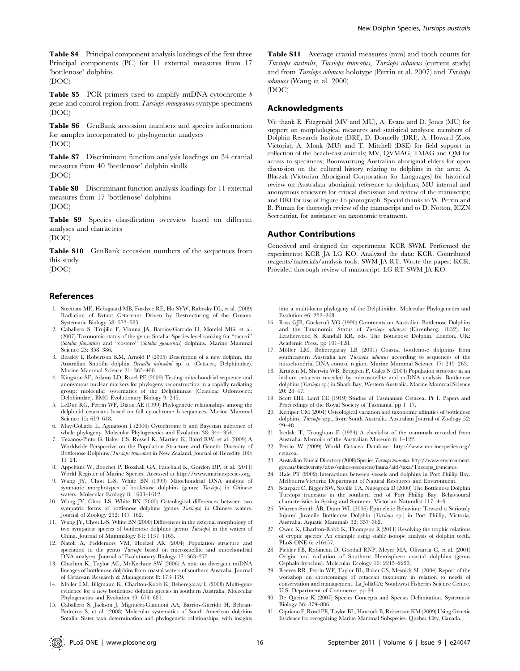Table S4 Principal component analysis loadings of the first three Principal components (PC) for 11 external measures from 17 'bottlenose' dolphins (DOC)

**Table S5** PCR primers used to amplify mtDNA cytochrome b gene and control region from Tursiops maugeanus syntype specimens (DOC)

Table S6 GenBank accession numbers and species information for samples incorporated to phylogenetic analyses (DOC)

Table S7 Discriminant function analysis loadings on 34 cranial measures from 40 'bottlenose' dolphin skulls (DOC)

Table S8 Discriminant function analysis loadings for 11 external measures from 17 'bottlenose' dolphins

(DOC)

Table S9 Species classification overview based on different analyses and characters (DOC)

Table S10 GenBank accession numbers of the sequences from this study

(DOC)

#### References

- 1. Steeman ME, Hebsgaard MB, Fordyce RE, Ho SYW, Rabosky DL, et al. (2009) Radiation of Extant Cetaceans Driven by Restructuring of the Oceans. Systematic Biology 58: 573–585.
- 2. Caballero S, Trujillo F, Vianna JA, Barrios-Garrido H, Montiel MG, et al. (2007) Taxonomic status of the genus Sotalia: Species level ranking for ''tucuxi'' (Sotalia fluviatilis) and ''costero'' (Sotalia guianensis) dolphins. Marine Mammal Science 23: 358–386.
- 3. Beasley I, Robertson KM, Arnold P (2005) Description of a new dolphin, the Australian Snubfin dolphin Orcaella heinsohni sp. n. (Cetacea, Delphinidae). Marine Mammal Science 21: 365–400.
- 4. Kingston SE, Adams LD, Rosel PE (2009) Testing mitochondrial sequence and anonymous nuclear markers for phylogeny reconstruction in a rapidly radiating group: molecular systematics of the Delphininae (Ceatcea: Odontoceti: Delphinidae). BMC Evolutionary Biology 9: 245.
- 5. LeDuc RG, Perrin WF, Dizon AE (1999) Phylogenetic relationships among the delphinid cetaceans based on full cytochrome b sequences. Marine Mammal Science 15: 619–648.
- 6. May-Collado L, Agnarsson I (2006) Cytochrome b and Bayesian inference of whale phylogeny. Molecular Phylogenetics and Evolution 38: 344–354.
- 7. Tezanos-Pinto G, Baker CS, Russell K, Martien K, Baird RW, et al. (2009) A Worldwide Perspective on the Population Structure and Genetic Diversity of Bottlenose Dolphins (Tursiops truncatus) in New Zealand. Journal of Heredity 100: 11–24.
- 8. Appeltans W, Bouchet P, Boxshall GA, Fauchald K, Gordon DP, et al. (2011) World Register of Marine Species. Accessed at http://www.marinespecies.org.
- 9. Wang JY, Chou L-S, White BN (1999) Mitochondrial DNA analysis of sympatric morphotypes of bottlenose dolphins (genus: Tursiops) in Chinese waters. Molecular Ecology 8: 1603–1612.
- 10. Wang JY, Chou LS, White BN (2000) Osteological differences between two sympatric forms of bottlenose dolphins (genus Tursiops) in Chinese waters. Journal of Zoology 252: 147–162.
- 11. Wang JY, Chou L-S, White BN (2000) Differences in the external morphology of two sympatric species of bottlenose dolphins (genus Tursiops) in the waters of China. Journal of Mammalogy 81: 1157–1165.
- 12. Natoli A, Peddemors VM, Hoelzel AR (2004) Population structure and speciation in the genus Tursiops based on microsatellite and mitochondrial DNA analyses. Journal of Evolutionary Biology 17: 363–375.
- 13. Charlton K, Taylor AC, McKechnie SW (2006) A note on divergent mtDNA lineages of bottlenose dolphins from coastal waters of southern Australia. Journal of Cetacean Research & Management 8: 173–179.
- 14. Möller LM, Bilgmann K, Charlton-Robb K, Beheregaray L (2008) Multi-gene evidence for a new bottlenose dolphin species in southern Australia. Molecular Phylogenetics and Evolution 49: 674–681.
- 15. Caballero S, Jackson J, Mignucci-Giannoni AA, Barrios-Garrido H, Beltran-Pedreros S, et al. (2008) Molecular systematics of South American dolphins Sotalia: Sister taxa determination and phylogenetic relationships, with insights

Table S11 Average cranial measures (mm) and tooth counts for Tursiops australis, Tursiops truncatus, Tursiops aduncus (current study) and from Tursiops aduncus holotype (Perrin et al. 2007) and Tursiops adunucs (Wang et al. 2000) (DOC)

#### Acknowledgments

We thank E. Fitzgerald (MV and MU), A. Evans and D. Jones (MU) for support on morphological measures and statistical analyses; members of Dolphin Research Institute (DRI), D. Donnelly (DRI), A. Howard (Zoos Victoria), A. Monk (MU) and T. Mitchell (DSE) for field support in collection of the beach-cast animals; MV, QVMAG, TMAG and QM for access to specimens; Boonwurrung Australian aboriginal elders for open discussion on the cultural history relating to dolphins in the area; A. Blaszak (Victorian Aboriginal Corporation for Languages) for historical review on Australian aboriginal reference to dolphins; MU internal and anonymous reviewers for critical discussion and review of the manuscript; and DRI for use of Figure 1b photograph. Special thanks to W. Perrin and B. Pitman for thorough review of the manuscript and to D. Notton, ICZN Secreatriat, for assistance on taxonomic treatment.

### Author Contributions

Conceived and designed the experiments: KCR SWM. Performed the experiments: KCR JA LG KO. Analyzed the data: KCR. Contributed reagents/materials/analysis tools: SWM JA RT. Wrote the paper: KCR. Provided thorough review of manuscript: LG RT SWM JA KO.

into a multi-locus phylogeny of the Delphinidae. Molecular Phylogenetics and Evolution 46: 252–268.

- 16. Ross GJB, Cockcroft VG (1990) Comments on Australian Bottlenose Dolphins and the Taxonomic Status of Tursiops aduncus (Ehrenberg, 1832). In: Leatherwood S, Randall RR, eds. The Bottlenose Dolphin. London, UK: Academic Press. pp 101–128.
- 17. Möller LM, Beheregaray LB  $(2001)$  Coastal bottlenose dolphins from southeastern Australia are Tursiops aduncus according to sequences of the mitochondrial DNA control region. Marine Mammal Science 17: 249–263.
- 18. Krützen M, Sherwin WB, Berggren P, Gales N (2004) Population structure in an inshore cetacean revealed by microsatellite and mtDNA analysis: Bottlenose dolphins (Tursiops sp.) in Shark Bay, Western Australia. Marine Mammal Science 20: 28–47.
- 19. Scott HH, Lord CE (1919) Studies of Tasmanian Cetacea. Pt 1. Papers and Proceedings of the Royal Society of Tasmania. pp 1–17.
- 20. Kemper CM (2004) Osteological variation and taxonomic affinities of bottlenose dolphins, Tursiops spp., from South Australia. Australian Journal of Zoology 52: 29–48.
- 21. Iredale T, Troughton E (1934) A check-list of the mammals recorded from Australia. Memoirs of the Australian Museum 6: 1–122.
- 22. Perrin W (2009) World Cetacea Database. http://www.marinespecies.org/ cetacea.
- 23. Australian Faunal Directory (2008) Species Tursiops truncatus. http://www.environment. gov.au/biodiversity/abrs/online-resources/fauna/afd/taxa/Tursiops\_truncatus.
- 24. Hale PT (2002) Interactions between vessels and dolphins in Port Phillip Bay. MelbourneVictoria: Department of Natural Resources and Environment.
- 25. Scarpaci C, Bigger SW, Saville TA, Nugegoda D (2000) The Bottlenose Dolphin Tursiops truncatus in the southern end of Port Phillip Bay: Behavioural characteristics in Spring and Summer. Victorian Naturalist 117: 4–9.
- 26. Warren-Smith ÁB, Dunn WL (2006) Epimeletic Behaviour Toward a Seriously Injured Juvenile Bottlenose Dolphin (Tursiops sp.) in Port Phillip, Victoria, Australia. Aquatic Mammals 32: 357–362.
- 27. Owen K, Charlton-Robb K, Thompson R (2011) Resolving the trophic relations of cryptic species: An example using stable isotope analysis of dolphin teeth. PLoS ONE 6: e16457.
- 28. Pichler FB, Robineau D, Goodall RNP, Meyer MA, Olivarria C, et al. (2001) Origin and radiation of Southern Hemisphere coastal dolphins (genus Cephalorhynchus). Molecular Ecology 10: 2215–2223.
- 29. Reeves RR, Perrin WF, Taylor BL, Baker CS, Mesnick SL (2004) Report of the workshop on shortcomings of cetacean taxonomy in relation to needs of conservation and management. La JollaCA: Southwest Fisheries Science Centre. U.S. Department of Commerce. pp 94.
- 30. De Queiroz K (2007) Species Concepts and Species Delimitation. Systematic Biology 56: 879–886.
- 31. Cipriano F, Rosel PE, Taylor BL, Hancock B, Robertson KM (2009) Using Genetic Evidence for recognizing Marine Mammal Subspecies. Quebec City, Canada, .